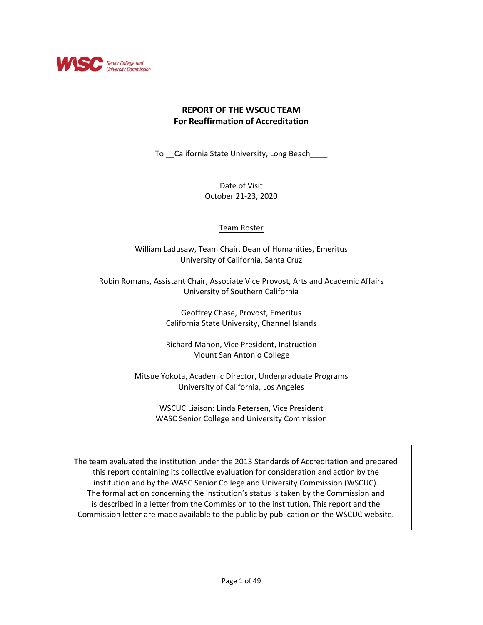

# **REPORT OF THE WSCUC TEAM For Reaffirmation of Accreditation**

To California State University, Long Beach

Date of Visit October 21-23, 2020

## Team Roster

William Ladusaw, Team Chair, Dean of Humanities, Emeritus University of California, Santa Cruz

Robin Romans, Assistant Chair, Associate Vice Provost, Arts and Academic Affairs University of Southern California

> Geoffrey Chase, Provost, Emeritus California State University, Channel Islands

> Richard Mahon, Vice President, Instruction Mount San Antonio College

Mitsue Yokota, Academic Director, Undergraduate Programs University of California, Los Angeles

> WSCUC Liaison: Linda Petersen, Vice President WASC Senior College and University Commission

The team evaluated the institution under the 2013 Standards of Accreditation and prepared this report containing its collective evaluation for consideration and action by the institution and by the WASC Senior College and University Commission (WSCUC). The formal action concerning the institution's status is taken by the Commission and is described in a letter from the Commission to the institution. This report and the Commission letter are made available to the public by publication on the WSCUC website.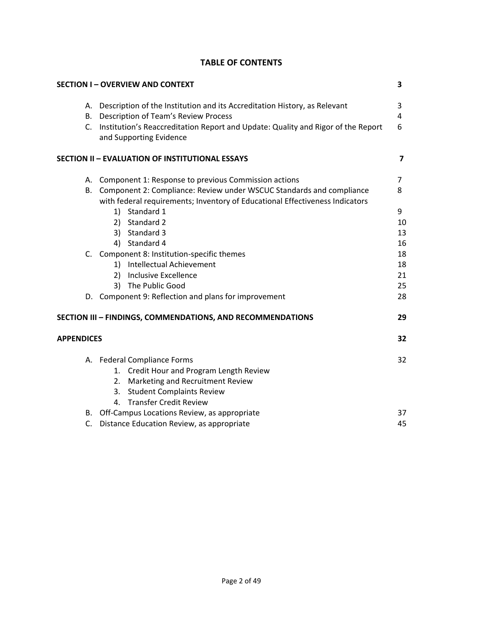# **TABLE OF CONTENTS**

|                   |    | <b>SECTION I-OVERVIEW AND CONTEXT</b>                                                                                                                   | $\overline{\mathbf{3}}$ |
|-------------------|----|---------------------------------------------------------------------------------------------------------------------------------------------------------|-------------------------|
|                   |    | A. Description of the Institution and its Accreditation History, as Relevant                                                                            | 3                       |
|                   |    | B. Description of Team's Review Process                                                                                                                 | 4                       |
|                   |    | C. Institution's Reaccreditation Report and Update: Quality and Rigor of the Report<br>and Supporting Evidence                                          | 6                       |
|                   |    | <b>SECTION II - EVALUATION OF INSTITUTIONAL ESSAYS</b>                                                                                                  | 7                       |
|                   |    | A. Component 1: Response to previous Commission actions                                                                                                 | 7                       |
|                   |    | B. Component 2: Compliance: Review under WSCUC Standards and compliance<br>with federal requirements; Inventory of Educational Effectiveness Indicators | 8                       |
|                   |    | 1) Standard 1                                                                                                                                           | 9                       |
|                   |    | 2) Standard 2                                                                                                                                           | 10                      |
|                   |    | 3) Standard 3                                                                                                                                           | 13                      |
|                   |    | 4) Standard 4                                                                                                                                           | 16                      |
|                   |    | C. Component 8: Institution-specific themes                                                                                                             | 18                      |
|                   |    | 1) Intellectual Achievement                                                                                                                             | 18                      |
|                   |    | 2) Inclusive Excellence                                                                                                                                 | 21                      |
|                   |    | The Public Good<br>3)                                                                                                                                   | 25                      |
|                   |    | D. Component 9: Reflection and plans for improvement                                                                                                    | 28                      |
|                   |    | SECTION III - FINDINGS, COMMENDATIONS, AND RECOMMENDATIONS                                                                                              | 29                      |
| <b>APPENDICES</b> |    |                                                                                                                                                         | 32                      |
|                   |    | A. Federal Compliance Forms                                                                                                                             | 32                      |
|                   |    | 1. Credit Hour and Program Length Review                                                                                                                |                         |
|                   |    | 2. Marketing and Recruitment Review                                                                                                                     |                         |
|                   |    | 3. Student Complaints Review                                                                                                                            |                         |
|                   |    | 4. Transfer Credit Review                                                                                                                               |                         |
|                   |    | B. Off-Campus Locations Review, as appropriate                                                                                                          | 37                      |
|                   | C. | Distance Education Review, as appropriate                                                                                                               | 45                      |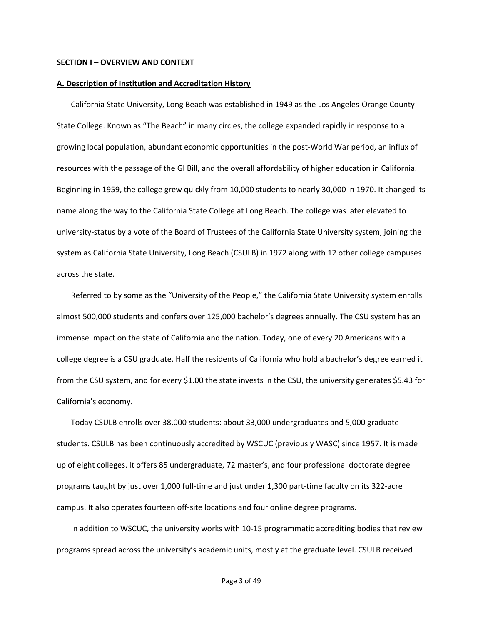### **SECTION I – OVERVIEW AND CONTEXT**

#### **A. Description of Institution and Accreditation History**

California State University, Long Beach was established in 1949 as the Los Angeles-Orange County State College. Known as "The Beach" in many circles, the college expanded rapidly in response to a growing local population, abundant economic opportunities in the post-World War period, an influx of resources with the passage of the GI Bill, and the overall affordability of higher education in California. Beginning in 1959, the college grew quickly from 10,000 students to nearly 30,000 in 1970. It changed its name along the way to the California State College at Long Beach. The college was later elevated to university-status by a vote of the Board of Trustees of the California State University system, joining the system as California State University, Long Beach (CSULB) in 1972 along with 12 other college campuses across the state.

Referred to by some as the "University of the People," the California State University system enrolls almost 500,000 students and confers over 125,000 bachelor's degrees annually. The CSU system has an immense impact on the state of California and the nation. Today, one of every 20 Americans with a college degree is a CSU graduate. Half the residents of California who hold a bachelor's degree earned it from the CSU system, and for every \$1.00 the state invests in the CSU, the university generates \$5.43 for California's economy.

Today CSULB enrolls over 38,000 students: about 33,000 undergraduates and 5,000 graduate students. CSULB has been continuously accredited by WSCUC (previously WASC) since 1957. It is made up of eight colleges. It offers 85 undergraduate, 72 master's, and four professional doctorate degree programs taught by just over 1,000 full-time and just under 1,300 part-time faculty on its 322-acre campus. It also operates fourteen off-site locations and four online degree programs.

In addition to WSCUC, the university works with 10-15 programmatic accrediting bodies that review programs spread across the university's academic units, mostly at the graduate level. CSULB received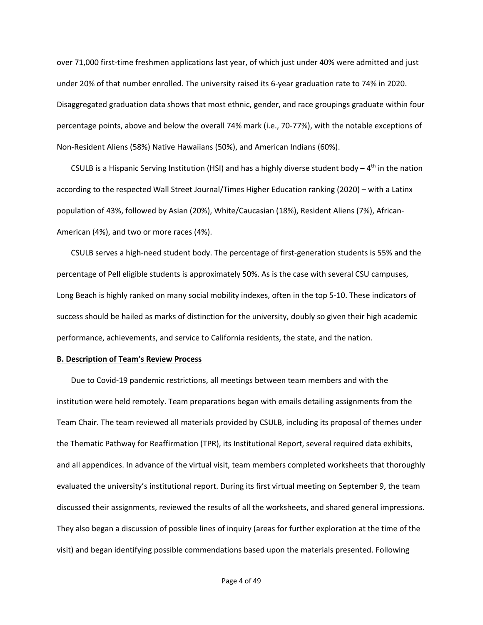over 71,000 first-time freshmen applications last year, of which just under 40% were admitted and just under 20% of that number enrolled. The university raised its 6-year graduation rate to 74% in 2020. Disaggregated graduation data shows that most ethnic, gender, and race groupings graduate within four percentage points, above and below the overall 74% mark (i.e., 70-77%), with the notable exceptions of Non-Resident Aliens (58%) Native Hawaiians (50%), and American Indians (60%).

CSULB is a Hispanic Serving Institution (HSI) and has a highly diverse student body  $- 4<sup>th</sup>$  in the nation according to the respected Wall Street Journal/Times Higher Education ranking (2020) – with a Latinx population of 43%, followed by Asian (20%), White/Caucasian (18%), Resident Aliens (7%), African-American (4%), and two or more races (4%).

CSULB serves a high-need student body. The percentage of first-generation students is 55% and the percentage of Pell eligible students is approximately 50%. As is the case with several CSU campuses, Long Beach is highly ranked on many social mobility indexes, often in the top 5-10. These indicators of success should be hailed as marks of distinction for the university, doubly so given their high academic performance, achievements, and service to California residents, the state, and the nation.

#### **B. Description of Team's Review Process**

Due to Covid-19 pandemic restrictions, all meetings between team members and with the institution were held remotely. Team preparations began with emails detailing assignments from the Team Chair. The team reviewed all materials provided by CSULB, including its proposal of themes under the Thematic Pathway for Reaffirmation (TPR), its Institutional Report, several required data exhibits, and all appendices. In advance of the virtual visit, team members completed worksheets that thoroughly evaluated the university's institutional report. During its first virtual meeting on September 9, the team discussed their assignments, reviewed the results of all the worksheets, and shared general impressions. They also began a discussion of possible lines of inquiry (areas for further exploration at the time of the visit) and began identifying possible commendations based upon the materials presented. Following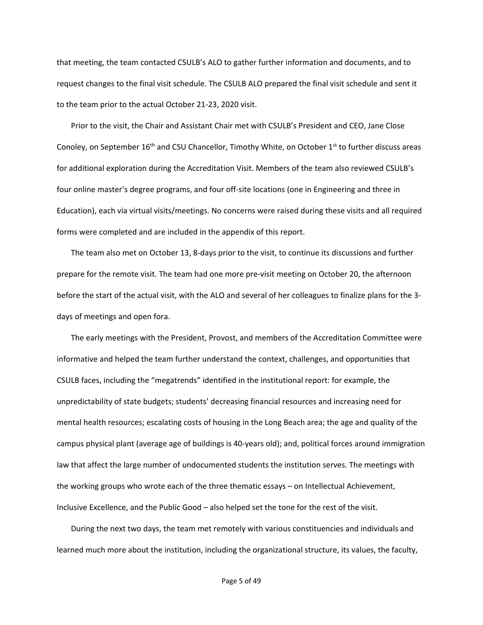that meeting, the team contacted CSULB's ALO to gather further information and documents, and to request changes to the final visit schedule. The CSULB ALO prepared the final visit schedule and sent it to the team prior to the actual October 21-23, 2020 visit.

Prior to the visit, the Chair and Assistant Chair met with CSULB's President and CEO, Jane Close Conoley, on September 16<sup>th</sup> and CSU Chancellor, Timothy White, on October 1<sup>st</sup> to further discuss areas for additional exploration during the Accreditation Visit. Members of the team also reviewed CSULB's four online master's degree programs, and four off-site locations (one in Engineering and three in Education), each via virtual visits/meetings. No concerns were raised during these visits and all required forms were completed and are included in the appendix of this report.

The team also met on October 13, 8-days prior to the visit, to continue its discussions and further prepare for the remote visit. The team had one more pre-visit meeting on October 20, the afternoon before the start of the actual visit, with the ALO and several of her colleagues to finalize plans for the 3 days of meetings and open fora.

The early meetings with the President, Provost, and members of the Accreditation Committee were informative and helped the team further understand the context, challenges, and opportunities that CSULB faces, including the "megatrends" identified in the institutional report: for example, the unpredictability of state budgets; students' decreasing financial resources and increasing need for mental health resources; escalating costs of housing in the Long Beach area; the age and quality of the campus physical plant (average age of buildings is 40-years old); and, political forces around immigration law that affect the large number of undocumented students the institution serves. The meetings with the working groups who wrote each of the three thematic essays – on Intellectual Achievement, Inclusive Excellence, and the Public Good – also helped set the tone for the rest of the visit.

During the next two days, the team met remotely with various constituencies and individuals and learned much more about the institution, including the organizational structure, its values, the faculty,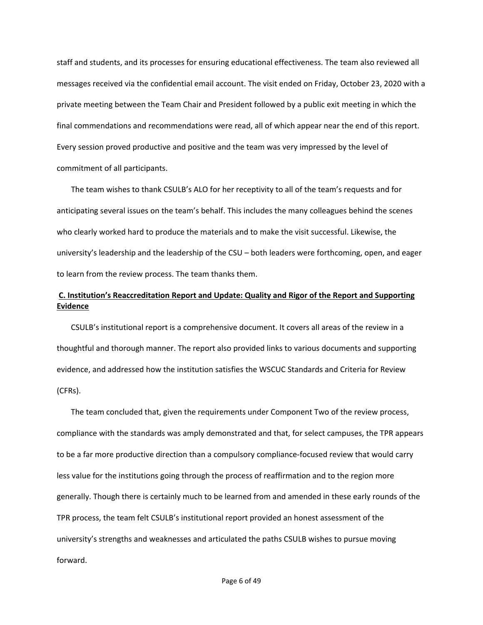staff and students, and its processes for ensuring educational effectiveness. The team also reviewed all messages received via the confidential email account. The visit ended on Friday, October 23, 2020 with a private meeting between the Team Chair and President followed by a public exit meeting in which the final commendations and recommendations were read, all of which appear near the end of this report. Every session proved productive and positive and the team was very impressed by the level of commitment of all participants.

The team wishes to thank CSULB's ALO for her receptivity to all of the team's requests and for anticipating several issues on the team's behalf. This includes the many colleagues behind the scenes who clearly worked hard to produce the materials and to make the visit successful. Likewise, the university's leadership and the leadership of the CSU – both leaders were forthcoming, open, and eager to learn from the review process. The team thanks them.

## **C. Institution's Reaccreditation Report and Update: Quality and Rigor of the Report and Supporting Evidence**

CSULB's institutional report is a comprehensive document. It covers all areas of the review in a thoughtful and thorough manner. The report also provided links to various documents and supporting evidence, and addressed how the institution satisfies the WSCUC Standards and Criteria for Review (CFRs).

The team concluded that, given the requirements under Component Two of the review process, compliance with the standards was amply demonstrated and that, for select campuses, the TPR appears to be a far more productive direction than a compulsory compliance-focused review that would carry less value for the institutions going through the process of reaffirmation and to the region more generally. Though there is certainly much to be learned from and amended in these early rounds of the TPR process, the team felt CSULB's institutional report provided an honest assessment of the university's strengths and weaknesses and articulated the paths CSULB wishes to pursue moving forward.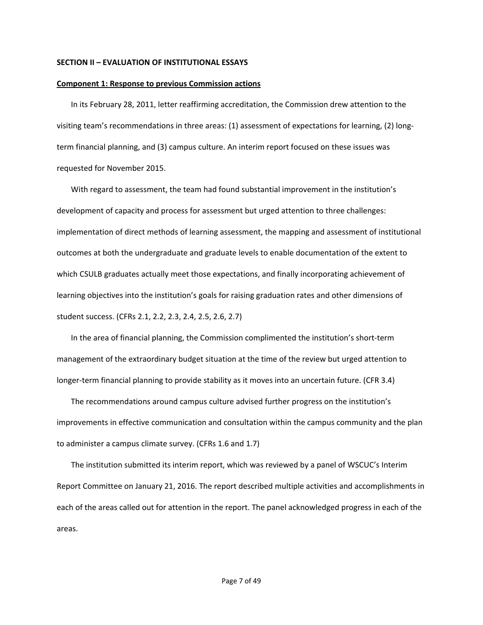#### **SECTION II – EVALUATION OF INSTITUTIONAL ESSAYS**

#### **Component 1: Response to previous Commission actions**

In its February 28, 2011, letter reaffirming accreditation, the Commission drew attention to the visiting team's recommendations in three areas: (1) assessment of expectations for learning, (2) longterm financial planning, and (3) campus culture. An interim report focused on these issues was requested for November 2015.

With regard to assessment, the team had found substantial improvement in the institution's development of capacity and process for assessment but urged attention to three challenges: implementation of direct methods of learning assessment, the mapping and assessment of institutional outcomes at both the undergraduate and graduate levels to enable documentation of the extent to which CSULB graduates actually meet those expectations, and finally incorporating achievement of learning objectives into the institution's goals for raising graduation rates and other dimensions of student success. (CFRs 2.1, 2.2, 2.3, 2.4, 2.5, 2.6, 2.7)

In the area of financial planning, the Commission complimented the institution's short-term management of the extraordinary budget situation at the time of the review but urged attention to longer-term financial planning to provide stability as it moves into an uncertain future. (CFR 3.4)

The recommendations around campus culture advised further progress on the institution's improvements in effective communication and consultation within the campus community and the plan to administer a campus climate survey. (CFRs 1.6 and 1.7)

The institution submitted its interim report, which was reviewed by a panel of WSCUC's Interim Report Committee on January 21, 2016. The report described multiple activities and accomplishments in each of the areas called out for attention in the report. The panel acknowledged progress in each of the areas.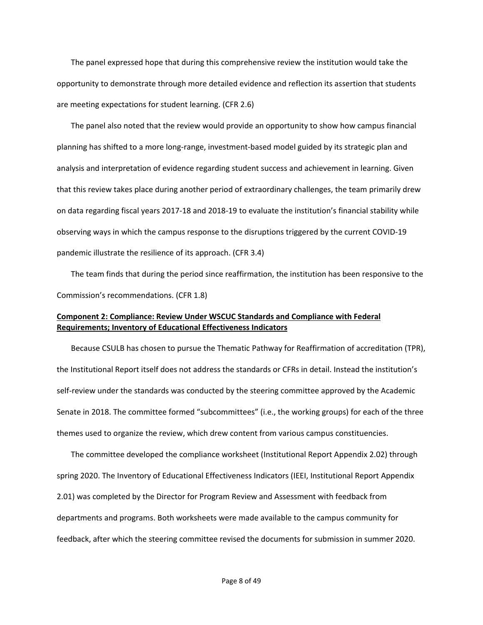The panel expressed hope that during this comprehensive review the institution would take the opportunity to demonstrate through more detailed evidence and reflection its assertion that students are meeting expectations for student learning. (CFR 2.6)

The panel also noted that the review would provide an opportunity to show how campus financial planning has shifted to a more long-range, investment-based model guided by its strategic plan and analysis and interpretation of evidence regarding student success and achievement in learning. Given that this review takes place during another period of extraordinary challenges, the team primarily drew on data regarding fiscal years 2017-18 and 2018-19 to evaluate the institution's financial stability while observing ways in which the campus response to the disruptions triggered by the current COVID-19 pandemic illustrate the resilience of its approach. (CFR 3.4)

The team finds that during the period since reaffirmation, the institution has been responsive to the Commission's recommendations. (CFR 1.8)

## **Component 2: Compliance: Review Under WSCUC Standards and Compliance with Federal Requirements; Inventory of Educational Effectiveness Indicators**

Because CSULB has chosen to pursue the Thematic Pathway for Reaffirmation of accreditation (TPR), the Institutional Report itself does not address the standards or CFRs in detail. Instead the institution's self-review under the standards was conducted by the steering committee approved by the Academic Senate in 2018. The committee formed "subcommittees" (i.e., the working groups) for each of the three themes used to organize the review, which drew content from various campus constituencies.

The committee developed the compliance worksheet (Institutional Report Appendix 2.02) through spring 2020. The Inventory of Educational Effectiveness Indicators (IEEI, Institutional Report Appendix 2.01) was completed by the Director for Program Review and Assessment with feedback from departments and programs. Both worksheets were made available to the campus community for feedback, after which the steering committee revised the documents for submission in summer 2020.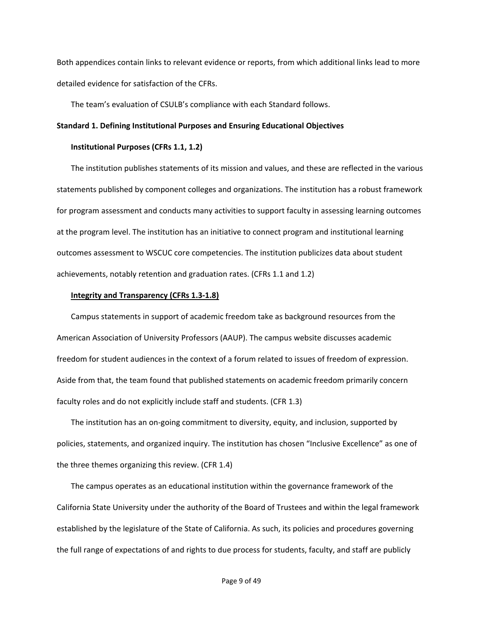Both appendices contain links to relevant evidence or reports, from which additional links lead to more detailed evidence for satisfaction of the CFRs.

The team's evaluation of CSULB's compliance with each Standard follows.

### **Standard 1. Defining Institutional Purposes and Ensuring Educational Objectives**

### **Institutional Purposes (CFRs 1.1, 1.2)**

The institution publishes statements of its mission and values, and these are reflected in the various statements published by component colleges and organizations. The institution has a robust framework for program assessment and conducts many activities to support faculty in assessing learning outcomes at the program level. The institution has an initiative to connect program and institutional learning outcomes assessment to WSCUC core competencies. The institution publicizes data about student achievements, notably retention and graduation rates. (CFRs 1.1 and 1.2)

#### **Integrity and Transparency (CFRs 1.3-1.8)**

Campus statements in support of academic freedom take as background resources from the American Association of University Professors (AAUP). The campus website discusses academic freedom for student audiences in the context of a forum related to issues of freedom of expression. Aside from that, the team found that published statements on academic freedom primarily concern faculty roles and do not explicitly include staff and students. (CFR 1.3)

The institution has an on-going commitment to diversity, equity, and inclusion, supported by policies, statements, and organized inquiry. The institution has chosen "Inclusive Excellence" as one of the three themes organizing this review. (CFR 1.4)

The campus operates as an educational institution within the governance framework of the California State University under the authority of the Board of Trustees and within the legal framework established by the legislature of the State of California. As such, its policies and procedures governing the full range of expectations of and rights to due process for students, faculty, and staff are publicly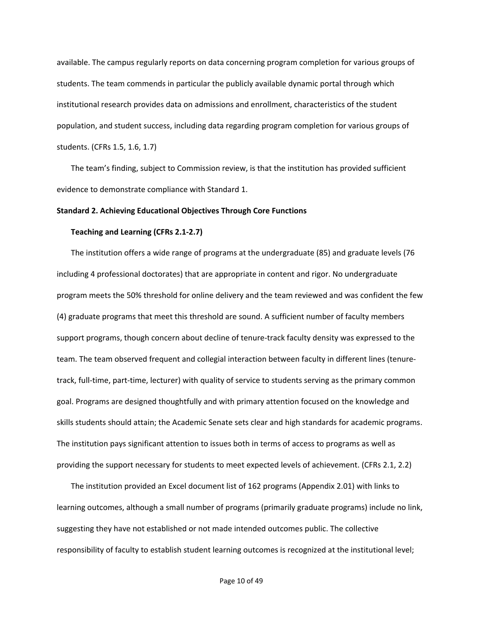available. The campus regularly reports on data concerning program completion for various groups of students. The team commends in particular the publicly available dynamic portal through which institutional research provides data on admissions and enrollment, characteristics of the student population, and student success, including data regarding program completion for various groups of students. (CFRs 1.5, 1.6, 1.7)

The team's finding, subject to Commission review, is that the institution has provided sufficient evidence to demonstrate compliance with Standard 1.

### **Standard 2. Achieving Educational Objectives Through Core Functions**

#### **Teaching and Learning (CFRs 2.1-2.7)**

The institution offers a wide range of programs at the undergraduate (85) and graduate levels (76 including 4 professional doctorates) that are appropriate in content and rigor. No undergraduate program meets the 50% threshold for online delivery and the team reviewed and was confident the few (4) graduate programs that meet this threshold are sound. A sufficient number of faculty members support programs, though concern about decline of tenure-track faculty density was expressed to the team. The team observed frequent and collegial interaction between faculty in different lines (tenuretrack, full-time, part-time, lecturer) with quality of service to students serving as the primary common goal. Programs are designed thoughtfully and with primary attention focused on the knowledge and skills students should attain; the Academic Senate sets clear and high standards for academic programs. The institution pays significant attention to issues both in terms of access to programs as well as providing the support necessary for students to meet expected levels of achievement. (CFRs 2.1, 2.2)

The institution provided an Excel document list of 162 programs (Appendix 2.01) with links to learning outcomes, although a small number of programs (primarily graduate programs) include no link, suggesting they have not established or not made intended outcomes public. The collective responsibility of faculty to establish student learning outcomes is recognized at the institutional level;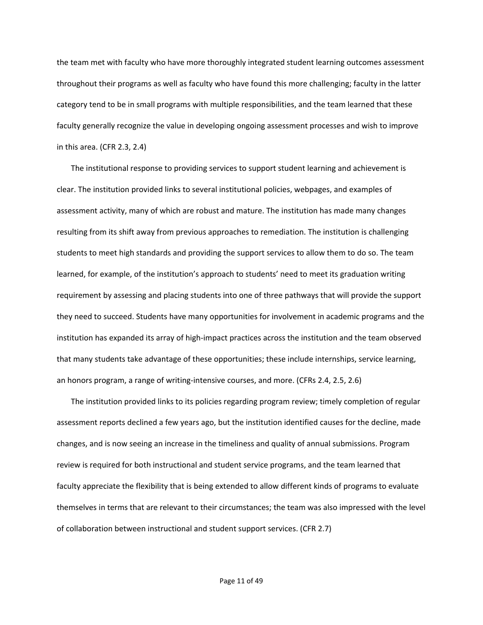the team met with faculty who have more thoroughly integrated student learning outcomes assessment throughout their programs as well as faculty who have found this more challenging; faculty in the latter category tend to be in small programs with multiple responsibilities, and the team learned that these faculty generally recognize the value in developing ongoing assessment processes and wish to improve in this area. (CFR 2.3, 2.4)

The institutional response to providing services to support student learning and achievement is clear. The institution provided links to several institutional policies, webpages, and examples of assessment activity, many of which are robust and mature. The institution has made many changes resulting from its shift away from previous approaches to remediation. The institution is challenging students to meet high standards and providing the support services to allow them to do so. The team learned, for example, of the institution's approach to students' need to meet its graduation writing requirement by assessing and placing students into one of three pathways that will provide the support they need to succeed. Students have many opportunities for involvement in academic programs and the institution has expanded its array of high-impact practices across the institution and the team observed that many students take advantage of these opportunities; these include internships, service learning, an honors program, a range of writing-intensive courses, and more. (CFRs 2.4, 2.5, 2.6)

The institution provided links to its policies regarding program review; timely completion of regular assessment reports declined a few years ago, but the institution identified causes for the decline, made changes, and is now seeing an increase in the timeliness and quality of annual submissions. Program review is required for both instructional and student service programs, and the team learned that faculty appreciate the flexibility that is being extended to allow different kinds of programs to evaluate themselves in terms that are relevant to their circumstances; the team was also impressed with the level of collaboration between instructional and student support services. (CFR 2.7)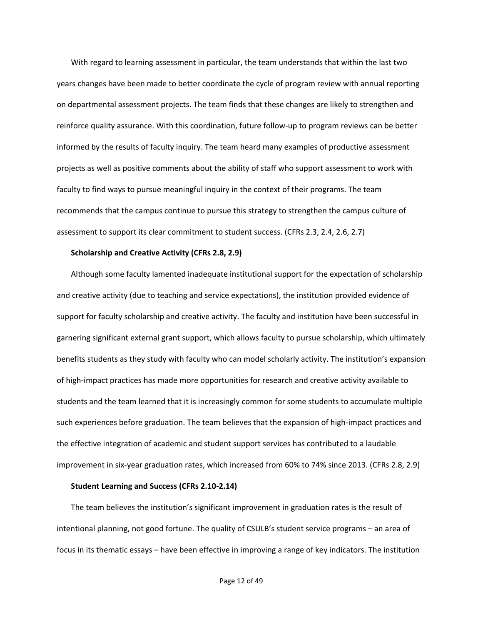With regard to learning assessment in particular, the team understands that within the last two years changes have been made to better coordinate the cycle of program review with annual reporting on departmental assessment projects. The team finds that these changes are likely to strengthen and reinforce quality assurance. With this coordination, future follow-up to program reviews can be better informed by the results of faculty inquiry. The team heard many examples of productive assessment projects as well as positive comments about the ability of staff who support assessment to work with faculty to find ways to pursue meaningful inquiry in the context of their programs. The team recommends that the campus continue to pursue this strategy to strengthen the campus culture of assessment to support its clear commitment to student success. (CFRs 2.3, 2.4, 2.6, 2.7)

#### **Scholarship and Creative Activity (CFRs 2.8, 2.9)**

Although some faculty lamented inadequate institutional support for the expectation of scholarship and creative activity (due to teaching and service expectations), the institution provided evidence of support for faculty scholarship and creative activity. The faculty and institution have been successful in garnering significant external grant support, which allows faculty to pursue scholarship, which ultimately benefits students as they study with faculty who can model scholarly activity. The institution's expansion of high-impact practices has made more opportunities for research and creative activity available to students and the team learned that it is increasingly common for some students to accumulate multiple such experiences before graduation. The team believes that the expansion of high-impact practices and the effective integration of academic and student support services has contributed to a laudable improvement in six-year graduation rates, which increased from 60% to 74% since 2013. (CFRs 2.8, 2.9)

### **Student Learning and Success (CFRs 2.10-2.14)**

The team believes the institution's significant improvement in graduation rates is the result of intentional planning, not good fortune. The quality of CSULB's student service programs – an area of focus in its thematic essays – have been effective in improving a range of key indicators. The institution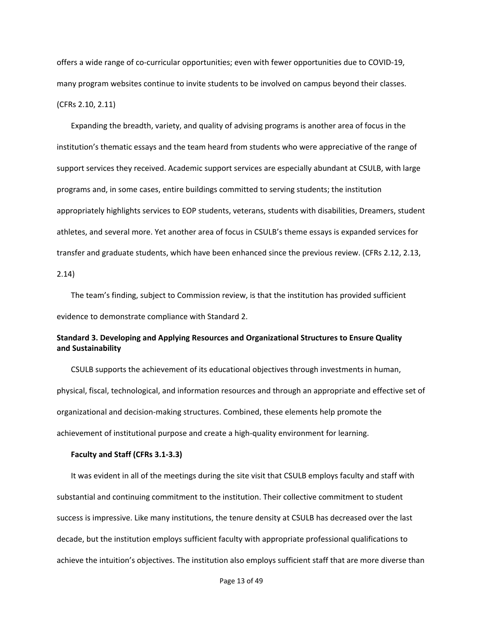offers a wide range of co-curricular opportunities; even with fewer opportunities due to COVID-19, many program websites continue to invite students to be involved on campus beyond their classes. (CFRs 2.10, 2.11)

Expanding the breadth, variety, and quality of advising programs is another area of focus in the institution's thematic essays and the team heard from students who were appreciative of the range of support services they received. Academic support services are especially abundant at CSULB, with large programs and, in some cases, entire buildings committed to serving students; the institution appropriately highlights services to EOP students, veterans, students with disabilities, Dreamers, student athletes, and several more. Yet another area of focus in CSULB's theme essays is expanded services for transfer and graduate students, which have been enhanced since the previous review. (CFRs 2.12, 2.13,

2.14)

The team's finding, subject to Commission review, is that the institution has provided sufficient evidence to demonstrate compliance with Standard 2.

## **Standard 3. Developing and Applying Resources and Organizational Structures to Ensure Quality and Sustainability**

CSULB supports the achievement of its educational objectives through investments in human, physical, fiscal, technological, and information resources and through an appropriate and effective set of organizational and decision-making structures. Combined, these elements help promote the achievement of institutional purpose and create a high-quality environment for learning.

### **Faculty and Staff (CFRs 3.1-3.3)**

It was evident in all of the meetings during the site visit that CSULB employs faculty and staff with substantial and continuing commitment to the institution. Their collective commitment to student success is impressive. Like many institutions, the tenure density at CSULB has decreased over the last decade, but the institution employs sufficient faculty with appropriate professional qualifications to achieve the intuition's objectives. The institution also employs sufficient staff that are more diverse than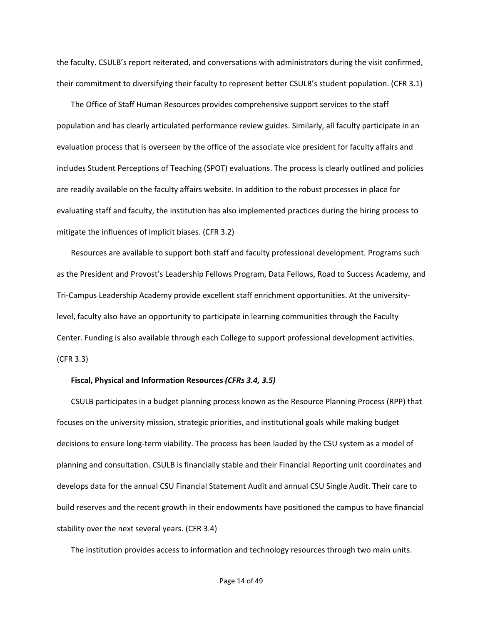the faculty. CSULB's report reiterated, and conversations with administrators during the visit confirmed, their commitment to diversifying their faculty to represent better CSULB's student population. (CFR 3.1)

The Office of Staff Human Resources provides comprehensive support services to the staff population and has clearly articulated performance review guides. Similarly, all faculty participate in an evaluation process that is overseen by the office of the associate vice president for faculty affairs and includes Student Perceptions of Teaching (SPOT) evaluations. The process is clearly outlined and policies are readily available on the faculty affairs website. In addition to the robust processes in place for evaluating staff and faculty, the institution has also implemented practices during the hiring process to mitigate the influences of implicit biases. (CFR 3.2)

Resources are available to support both staff and faculty professional development. Programs such as the President and Provost's Leadership Fellows Program, Data Fellows, Road to Success Academy, and Tri-Campus Leadership Academy provide excellent staff enrichment opportunities. At the universitylevel, faculty also have an opportunity to participate in learning communities through the Faculty Center. Funding is also available through each College to support professional development activities. (CFR 3.3)

### **Fiscal, Physical and Information Resources** *(CFRs 3.4, 3.5)*

CSULB participates in a budget planning process known as the Resource Planning Process (RPP) that focuses on the university mission, strategic priorities, and institutional goals while making budget decisions to ensure long-term viability. The process has been lauded by the CSU system as a model of planning and consultation. CSULB is financially stable and their Financial Reporting unit coordinates and develops data for the annual CSU Financial Statement Audit and annual CSU Single Audit. Their care to build reserves and the recent growth in their endowments have positioned the campus to have financial stability over the next several years. (CFR 3.4)

The institution provides access to information and technology resources through two main units.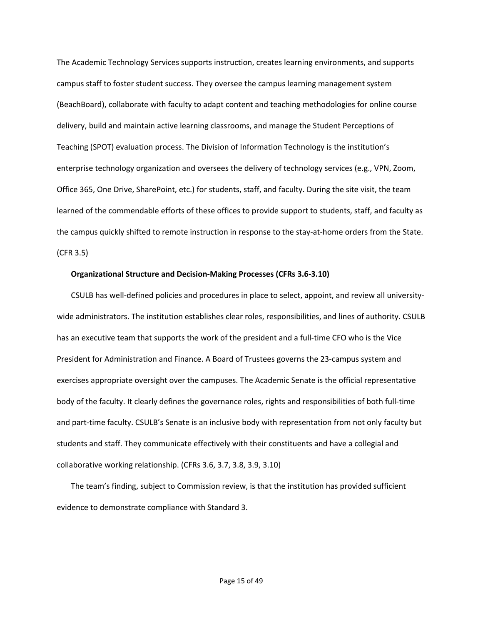The Academic Technology Services supports instruction, creates learning environments, and supports campus staff to foster student success. They oversee the campus learning management system (BeachBoard), collaborate with faculty to adapt content and teaching methodologies for online course delivery, build and maintain active learning classrooms, and manage the Student Perceptions of Teaching (SPOT) evaluation process. The Division of Information Technology is the institution's enterprise technology organization and oversees the delivery of technology services (e.g., VPN, Zoom, Office 365, One Drive, SharePoint, etc.) for students, staff, and faculty. During the site visit, the team learned of the commendable efforts of these offices to provide support to students, staff, and faculty as the campus quickly shifted to remote instruction in response to the stay-at-home orders from the State. (CFR 3.5)

#### **Organizational Structure and Decision-Making Processes (CFRs 3.6-3.10)**

CSULB has well-defined policies and procedures in place to select, appoint, and review all universitywide administrators. The institution establishes clear roles, responsibilities, and lines of authority. CSULB has an executive team that supports the work of the president and a full-time CFO who is the Vice President for Administration and Finance. A Board of Trustees governs the 23-campus system and exercises appropriate oversight over the campuses. The Academic Senate is the official representative body of the faculty. It clearly defines the governance roles, rights and responsibilities of both full-time and part-time faculty. CSULB's Senate is an inclusive body with representation from not only faculty but students and staff. They communicate effectively with their constituents and have a collegial and collaborative working relationship. (CFRs 3.6, 3.7, 3.8, 3.9, 3.10)

The team's finding, subject to Commission review, is that the institution has provided sufficient evidence to demonstrate compliance with Standard 3.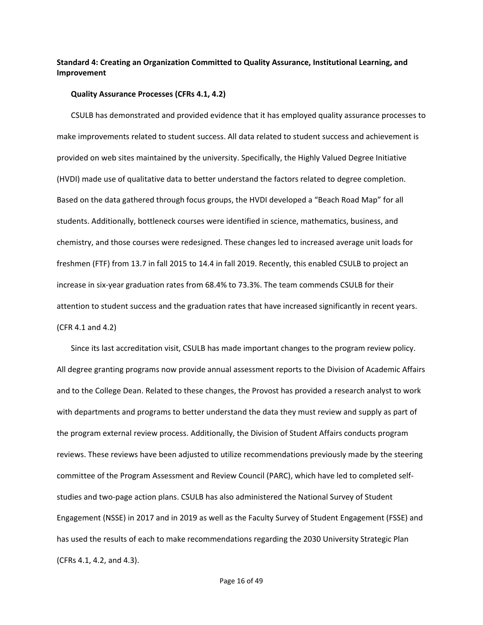## **Standard 4: Creating an Organization Committed to Quality Assurance, Institutional Learning, and Improvement**

#### **Quality Assurance Processes (CFRs 4.1, 4.2)**

CSULB has demonstrated and provided evidence that it has employed quality assurance processes to make improvements related to student success. All data related to student success and achievement is provided on web sites maintained by the university. Specifically, the Highly Valued Degree Initiative (HVDI) made use of qualitative data to better understand the factors related to degree completion. Based on the data gathered through focus groups, the HVDI developed a "Beach Road Map" for all students. Additionally, bottleneck courses were identified in science, mathematics, business, and chemistry, and those courses were redesigned. These changes led to increased average unit loads for freshmen (FTF) from 13.7 in fall 2015 to 14.4 in fall 2019. Recently, this enabled CSULB to project an increase in six-year graduation rates from 68.4% to 73.3%. The team commends CSULB for their attention to student success and the graduation rates that have increased significantly in recent years. (CFR 4.1 and 4.2)

Since its last accreditation visit, CSULB has made important changes to the program review policy. All degree granting programs now provide annual assessment reports to the Division of Academic Affairs and to the College Dean. Related to these changes, the Provost has provided a research analyst to work with departments and programs to better understand the data they must review and supply as part of the program external review process. Additionally, the Division of Student Affairs conducts program reviews. These reviews have been adjusted to utilize recommendations previously made by the steering committee of the Program Assessment and Review Council (PARC), which have led to completed selfstudies and two-page action plans. CSULB has also administered the National Survey of Student Engagement (NSSE) in 2017 and in 2019 as well as the Faculty Survey of Student Engagement (FSSE) and has used the results of each to make recommendations regarding the 2030 University Strategic Plan (CFRs 4.1, 4.2, and 4.3).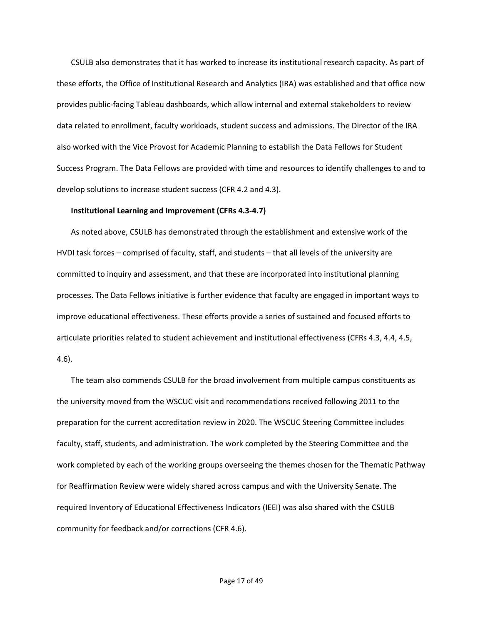CSULB also demonstrates that it has worked to increase its institutional research capacity. As part of these efforts, the Office of Institutional Research and Analytics (IRA) was established and that office now provides public-facing Tableau dashboards, which allow internal and external stakeholders to review data related to enrollment, faculty workloads, student success and admissions. The Director of the IRA also worked with the Vice Provost for Academic Planning to establish the Data Fellows for Student Success Program. The Data Fellows are provided with time and resources to identify challenges to and to develop solutions to increase student success (CFR 4.2 and 4.3).

### **Institutional Learning and Improvement (CFRs 4.3-4.7)**

As noted above, CSULB has demonstrated through the establishment and extensive work of the HVDI task forces – comprised of faculty, staff, and students – that all levels of the university are committed to inquiry and assessment, and that these are incorporated into institutional planning processes. The Data Fellows initiative is further evidence that faculty are engaged in important ways to improve educational effectiveness. These efforts provide a series of sustained and focused efforts to articulate priorities related to student achievement and institutional effectiveness (CFRs 4.3, 4.4, 4.5, 4.6).

The team also commends CSULB for the broad involvement from multiple campus constituents as the university moved from the WSCUC visit and recommendations received following 2011 to the preparation for the current accreditation review in 2020. The WSCUC Steering Committee includes faculty, staff, students, and administration. The work completed by the Steering Committee and the work completed by each of the working groups overseeing the themes chosen for the Thematic Pathway for Reaffirmation Review were widely shared across campus and with the University Senate. The required Inventory of Educational Effectiveness Indicators (IEEI) was also shared with the CSULB community for feedback and/or corrections (CFR 4.6).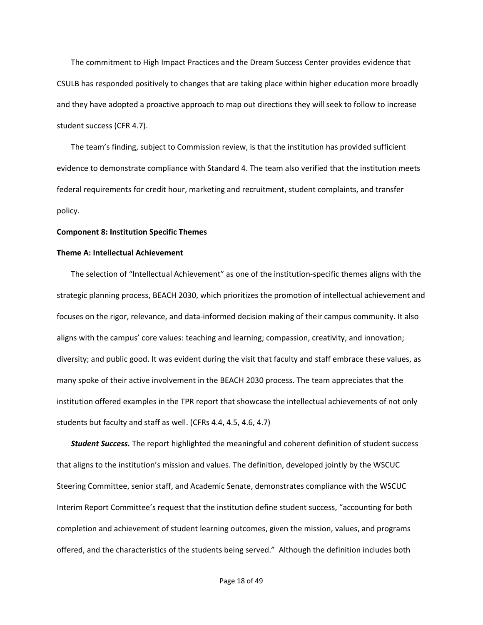The commitment to High Impact Practices and the Dream Success Center provides evidence that CSULB has responded positively to changes that are taking place within higher education more broadly and they have adopted a proactive approach to map out directions they will seek to follow to increase student success (CFR 4.7).

The team's finding, subject to Commission review, is that the institution has provided sufficient evidence to demonstrate compliance with Standard 4. The team also verified that the institution meets federal requirements for credit hour, marketing and recruitment, student complaints, and transfer policy.

#### **Component 8: Institution Specific Themes**

#### **Theme A: Intellectual Achievement**

The selection of "Intellectual Achievement" as one of the institution-specific themes aligns with the strategic planning process, BEACH 2030, which prioritizes the promotion of intellectual achievement and focuses on the rigor, relevance, and data-informed decision making of their campus community. It also aligns with the campus' core values: teaching and learning; compassion, creativity, and innovation; diversity; and public good. It was evident during the visit that faculty and staff embrace these values, as many spoke of their active involvement in the BEACH 2030 process. The team appreciates that the institution offered examples in the TPR report that showcase the intellectual achievements of not only students but faculty and staff as well. (CFRs 4.4, 4.5, 4.6, 4.7)

*Student Success.* The report highlighted the meaningful and coherent definition of student success that aligns to the institution's mission and values. The definition, developed jointly by the WSCUC Steering Committee, senior staff, and Academic Senate, demonstrates compliance with the WSCUC Interim Report Committee's request that the institution define student success, "accounting for both completion and achievement of student learning outcomes, given the mission, values, and programs offered, and the characteristics of the students being served." Although the definition includes both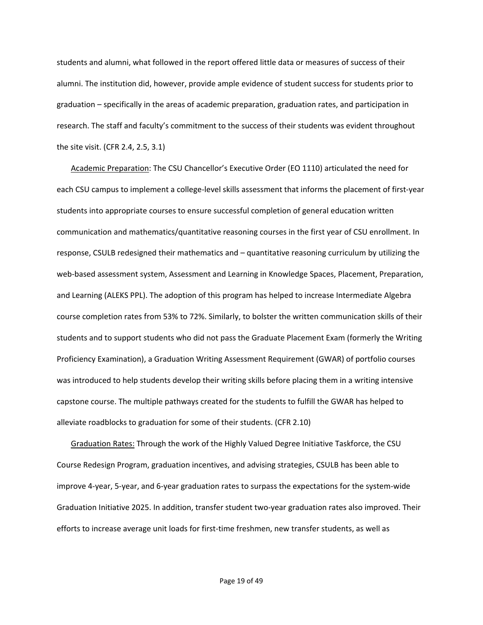students and alumni, what followed in the report offered little data or measures of success of their alumni. The institution did, however, provide ample evidence of student success for students prior to graduation – specifically in the areas of academic preparation, graduation rates, and participation in research. The staff and faculty's commitment to the success of their students was evident throughout the site visit. (CFR 2.4, 2.5, 3.1)

Academic Preparation: The CSU Chancellor's Executive Order (EO 1110) articulated the need for each CSU campus to implement a college-level skills assessment that informs the placement of first-year students into appropriate courses to ensure successful completion of general education written communication and mathematics/quantitative reasoning courses in the first year of CSU enrollment. In response, CSULB redesigned their mathematics and – quantitative reasoning curriculum by utilizing the web-based assessment system, Assessment and Learning in Knowledge Spaces, Placement, Preparation, and Learning (ALEKS PPL). The adoption of this program has helped to increase Intermediate Algebra course completion rates from 53% to 72%. Similarly, to bolster the written communication skills of their students and to support students who did not pass the Graduate Placement Exam (formerly the Writing Proficiency Examination), a Graduation Writing Assessment Requirement (GWAR) of portfolio courses was introduced to help students develop their writing skills before placing them in a writing intensive capstone course. The multiple pathways created for the students to fulfill the GWAR has helped to alleviate roadblocks to graduation for some of their students. (CFR 2.10)

Graduation Rates: Through the work of the Highly Valued Degree Initiative Taskforce, the CSU Course Redesign Program, graduation incentives, and advising strategies, CSULB has been able to improve 4-year, 5-year, and 6-year graduation rates to surpass the expectations for the system-wide Graduation Initiative 2025. In addition, transfer student two-year graduation rates also improved. Their efforts to increase average unit loads for first-time freshmen, new transfer students, as well as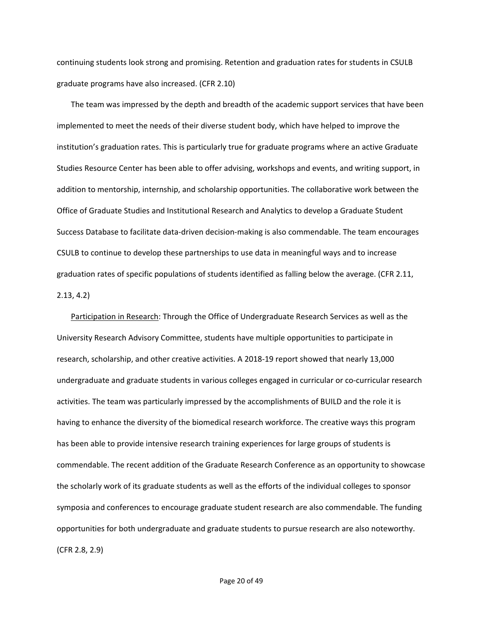continuing students look strong and promising. Retention and graduation rates for students in CSULB graduate programs have also increased. (CFR 2.10)

The team was impressed by the depth and breadth of the academic support services that have been implemented to meet the needs of their diverse student body, which have helped to improve the institution's graduation rates. This is particularly true for graduate programs where an active Graduate Studies Resource Center has been able to offer advising, workshops and events, and writing support, in addition to mentorship, internship, and scholarship opportunities. The collaborative work between the Office of Graduate Studies and Institutional Research and Analytics to develop a Graduate Student Success Database to facilitate data-driven decision-making is also commendable. The team encourages CSULB to continue to develop these partnerships to use data in meaningful ways and to increase graduation rates of specific populations of students identified as falling below the average. (CFR 2.11, 2.13, 4.2)

Participation in Research: Through the Office of Undergraduate Research Services as well as the University Research Advisory Committee, students have multiple opportunities to participate in research, scholarship, and other creative activities. A 2018-19 report showed that nearly 13,000 undergraduate and graduate students in various colleges engaged in curricular or co-curricular research activities. The team was particularly impressed by the accomplishments of BUILD and the role it is having to enhance the diversity of the biomedical research workforce. The creative ways this program has been able to provide intensive research training experiences for large groups of students is commendable. The recent addition of the Graduate Research Conference as an opportunity to showcase the scholarly work of its graduate students as well as the efforts of the individual colleges to sponsor symposia and conferences to encourage graduate student research are also commendable. The funding opportunities for both undergraduate and graduate students to pursue research are also noteworthy. (CFR 2.8, 2.9)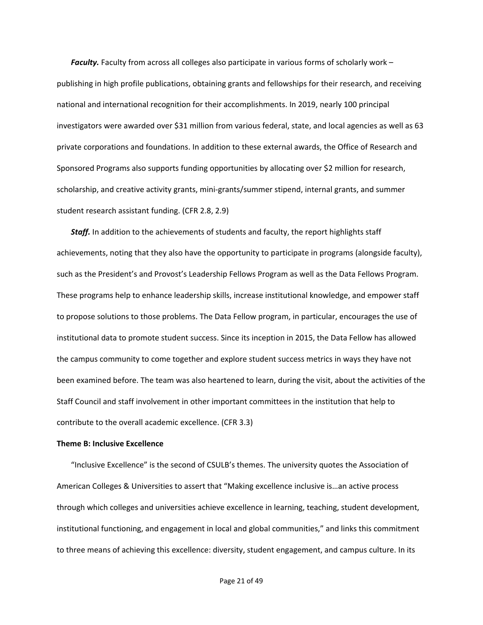*Faculty.* Faculty from across all colleges also participate in various forms of scholarly work – publishing in high profile publications, obtaining grants and fellowships for their research, and receiving national and international recognition for their accomplishments. In 2019, nearly 100 principal investigators were awarded over \$31 million from various federal, state, and local agencies as well as 63 private corporations and foundations. In addition to these external awards, the Office of Research and Sponsored Programs also supports funding opportunities by allocating over \$2 million for research, scholarship, and creative activity grants, mini-grants/summer stipend, internal grants, and summer student research assistant funding. (CFR 2.8, 2.9)

*Staff.* In addition to the achievements of students and faculty, the report highlights staff achievements, noting that they also have the opportunity to participate in programs (alongside faculty), such as the President's and Provost's Leadership Fellows Program as well as the Data Fellows Program. These programs help to enhance leadership skills, increase institutional knowledge, and empower staff to propose solutions to those problems. The Data Fellow program, in particular, encourages the use of institutional data to promote student success. Since its inception in 2015, the Data Fellow has allowed the campus community to come together and explore student success metrics in ways they have not been examined before. The team was also heartened to learn, during the visit, about the activities of the Staff Council and staff involvement in other important committees in the institution that help to contribute to the overall academic excellence. (CFR 3.3)

#### **Theme B: Inclusive Excellence**

"Inclusive Excellence" is the second of CSULB's themes. The university quotes the Association of American Colleges & Universities to assert that "Making excellence inclusive is…an active process through which colleges and universities achieve excellence in learning, teaching, student development, institutional functioning, and engagement in local and global communities," and links this commitment to three means of achieving this excellence: diversity, student engagement, and campus culture. In its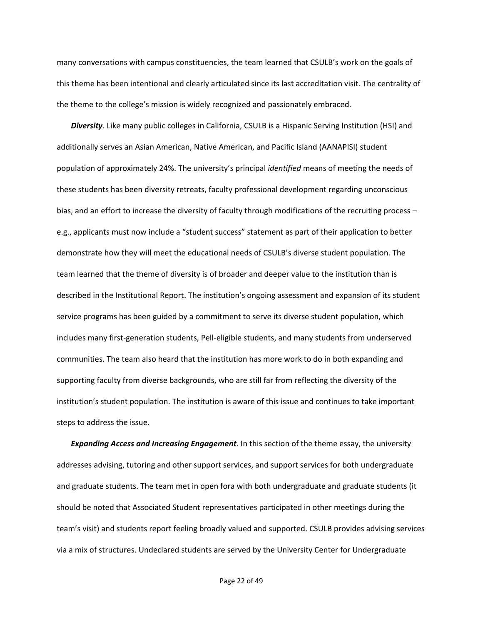many conversations with campus constituencies, the team learned that CSULB's work on the goals of this theme has been intentional and clearly articulated since its last accreditation visit. The centrality of the theme to the college's mission is widely recognized and passionately embraced.

*Diversity*. Like many public colleges in California, CSULB is a Hispanic Serving Institution (HSI) and additionally serves an Asian American, Native American, and Pacific Island (AANAPISI) student population of approximately 24%. The university's principal *identified* means of meeting the needs of these students has been diversity retreats, faculty professional development regarding unconscious bias, and an effort to increase the diversity of faculty through modifications of the recruiting process – e.g., applicants must now include a "student success" statement as part of their application to better demonstrate how they will meet the educational needs of CSULB's diverse student population. The team learned that the theme of diversity is of broader and deeper value to the institution than is described in the Institutional Report. The institution's ongoing assessment and expansion of its student service programs has been guided by a commitment to serve its diverse student population, which includes many first-generation students, Pell-eligible students, and many students from underserved communities. The team also heard that the institution has more work to do in both expanding and supporting faculty from diverse backgrounds, who are still far from reflecting the diversity of the institution's student population. The institution is aware of this issue and continues to take important steps to address the issue.

*Expanding Access and Increasing Engagement*. In this section of the theme essay, the university addresses advising, tutoring and other support services, and support services for both undergraduate and graduate students. The team met in open fora with both undergraduate and graduate students (it should be noted that Associated Student representatives participated in other meetings during the team's visit) and students report feeling broadly valued and supported. CSULB provides advising services via a mix of structures. Undeclared students are served by the University Center for Undergraduate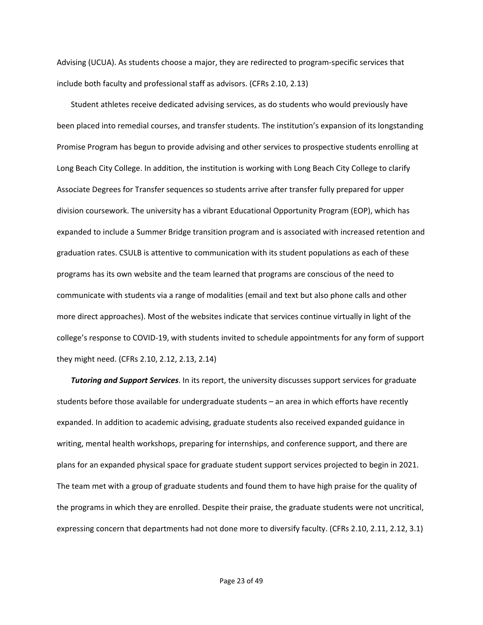Advising (UCUA). As students choose a major, they are redirected to program-specific services that include both faculty and professional staff as advisors. (CFRs 2.10, 2.13)

Student athletes receive dedicated advising services, as do students who would previously have been placed into remedial courses, and transfer students. The institution's expansion of its longstanding Promise Program has begun to provide advising and other services to prospective students enrolling at Long Beach City College. In addition, the institution is working with Long Beach City College to clarify Associate Degrees for Transfer sequences so students arrive after transfer fully prepared for upper division coursework. The university has a vibrant Educational Opportunity Program (EOP), which has expanded to include a Summer Bridge transition program and is associated with increased retention and graduation rates. CSULB is attentive to communication with its student populations as each of these programs has its own website and the team learned that programs are conscious of the need to communicate with students via a range of modalities (email and text but also phone calls and other more direct approaches). Most of the websites indicate that services continue virtually in light of the college's response to COVID-19, with students invited to schedule appointments for any form of support they might need. (CFRs 2.10, 2.12, 2.13, 2.14)

*Tutoring and Support Services*. In its report, the university discusses support services for graduate students before those available for undergraduate students – an area in which efforts have recently expanded. In addition to academic advising, graduate students also received expanded guidance in writing, mental health workshops, preparing for internships, and conference support, and there are plans for an expanded physical space for graduate student support services projected to begin in 2021. The team met with a group of graduate students and found them to have high praise for the quality of the programs in which they are enrolled. Despite their praise, the graduate students were not uncritical, expressing concern that departments had not done more to diversify faculty. (CFRs 2.10, 2.11, 2.12, 3.1)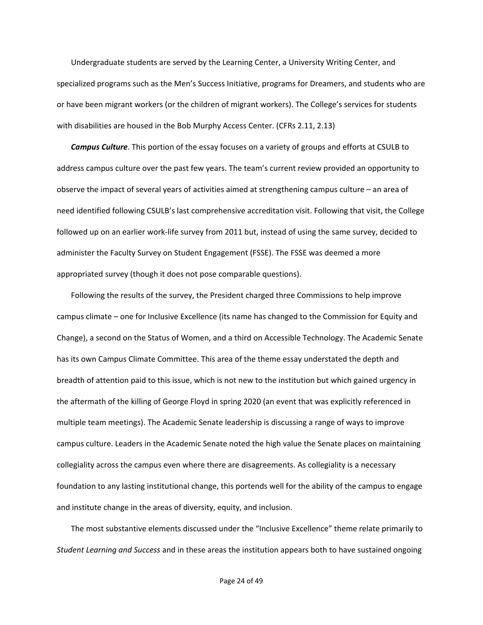Undergraduate students are served by the Learning Center, a University Writing Center, and specialized programs such as the Men's Success Initiative, programs for Dreamers, and students who are or have been migrant workers (or the children of migrant workers). The College's services for students with disabilities are housed in the Bob Murphy Access Center. (CFRs 2.11, 2.13)

*Campus Culture*. This portion of the essay focuses on a variety of groups and efforts at CSULB to address campus culture over the past few years. The team's current review provided an opportunity to observe the impact of several years of activities aimed at strengthening campus culture – an area of need identified following CSULB's last comprehensive accreditation visit. Following that visit, the College followed up on an earlier work-life survey from 2011 but, instead of using the same survey, decided to administer the Faculty Survey on Student Engagement (FSSE). The FSSE was deemed a more appropriated survey (though it does not pose comparable questions).

Following the results of the survey, the President charged three Commissions to help improve campus climate – one for Inclusive Excellence (its name has changed to the Commission for Equity and Change), a second on the Status of Women, and a third on Accessible Technology. The Academic Senate has its own Campus Climate Committee. This area of the theme essay understated the depth and breadth of attention paid to this issue, which is not new to the institution but which gained urgency in the aftermath of the killing of George Floyd in spring 2020 (an event that was explicitly referenced in multiple team meetings). The Academic Senate leadership is discussing a range of ways to improve campus culture. Leaders in the Academic Senate noted the high value the Senate places on maintaining collegiality across the campus even where there are disagreements. As collegiality is a necessary foundation to any lasting institutional change, this portends well for the ability of the campus to engage and institute change in the areas of diversity, equity, and inclusion.

The most substantive elements discussed under the "Inclusive Excellence" theme relate primarily to *Student Learning and Success* and in these areas the institution appears both to have sustained ongoing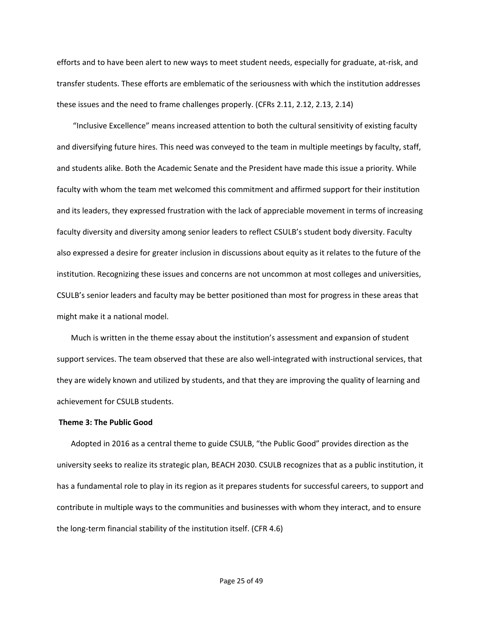efforts and to have been alert to new ways to meet student needs, especially for graduate, at-risk, and transfer students. These efforts are emblematic of the seriousness with which the institution addresses these issues and the need to frame challenges properly. (CFRs 2.11, 2.12, 2.13, 2.14)

"Inclusive Excellence" means increased attention to both the cultural sensitivity of existing faculty and diversifying future hires. This need was conveyed to the team in multiple meetings by faculty, staff, and students alike. Both the Academic Senate and the President have made this issue a priority. While faculty with whom the team met welcomed this commitment and affirmed support for their institution and its leaders, they expressed frustration with the lack of appreciable movement in terms of increasing faculty diversity and diversity among senior leaders to reflect CSULB's student body diversity. Faculty also expressed a desire for greater inclusion in discussions about equity as it relates to the future of the institution. Recognizing these issues and concerns are not uncommon at most colleges and universities, CSULB's senior leaders and faculty may be better positioned than most for progress in these areas that might make it a national model.

Much is written in the theme essay about the institution's assessment and expansion of student support services. The team observed that these are also well-integrated with instructional services, that they are widely known and utilized by students, and that they are improving the quality of learning and achievement for CSULB students.

### **Theme 3: The Public Good**

Adopted in 2016 as a central theme to guide CSULB, "the Public Good" provides direction as the university seeks to realize its strategic plan, BEACH 2030. CSULB recognizes that as a public institution, it has a fundamental role to play in its region as it prepares students for successful careers, to support and contribute in multiple ways to the communities and businesses with whom they interact, and to ensure the long-term financial stability of the institution itself. (CFR 4.6)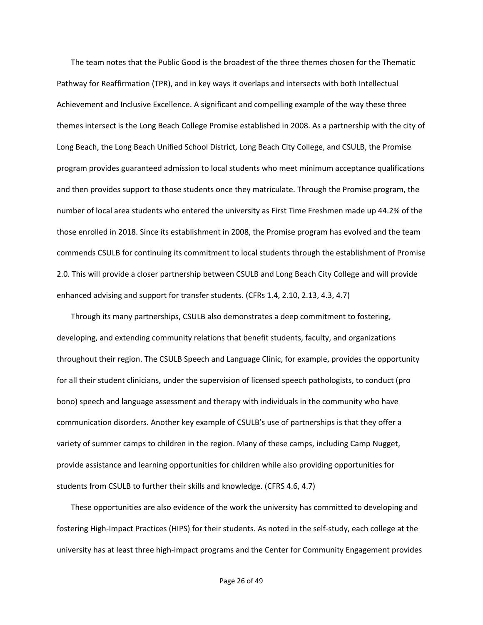The team notes that the Public Good is the broadest of the three themes chosen for the Thematic Pathway for Reaffirmation (TPR), and in key ways it overlaps and intersects with both Intellectual Achievement and Inclusive Excellence. A significant and compelling example of the way these three themes intersect is the Long Beach College Promise established in 2008. As a partnership with the city of Long Beach, the Long Beach Unified School District, Long Beach City College, and CSULB, the Promise program provides guaranteed admission to local students who meet minimum acceptance qualifications and then provides support to those students once they matriculate. Through the Promise program, the number of local area students who entered the university as First Time Freshmen made up 44.2% of the those enrolled in 2018. Since its establishment in 2008, the Promise program has evolved and the team commends CSULB for continuing its commitment to local students through the establishment of Promise 2.0. This will provide a closer partnership between CSULB and Long Beach City College and will provide enhanced advising and support for transfer students. (CFRs 1.4, 2.10, 2.13, 4.3, 4.7)

Through its many partnerships, CSULB also demonstrates a deep commitment to fostering, developing, and extending community relations that benefit students, faculty, and organizations throughout their region. The CSULB Speech and Language Clinic, for example, provides the opportunity for all their student clinicians, under the supervision of licensed speech pathologists, to conduct (pro bono) speech and language assessment and therapy with individuals in the community who have communication disorders. Another key example of CSULB's use of partnerships is that they offer a variety of summer camps to children in the region. Many of these camps, including Camp Nugget, provide assistance and learning opportunities for children while also providing opportunities for students from CSULB to further their skills and knowledge. (CFRS 4.6, 4.7)

These opportunities are also evidence of the work the university has committed to developing and fostering High-Impact Practices (HIPS) for their students. As noted in the self-study, each college at the university has at least three high-impact programs and the Center for Community Engagement provides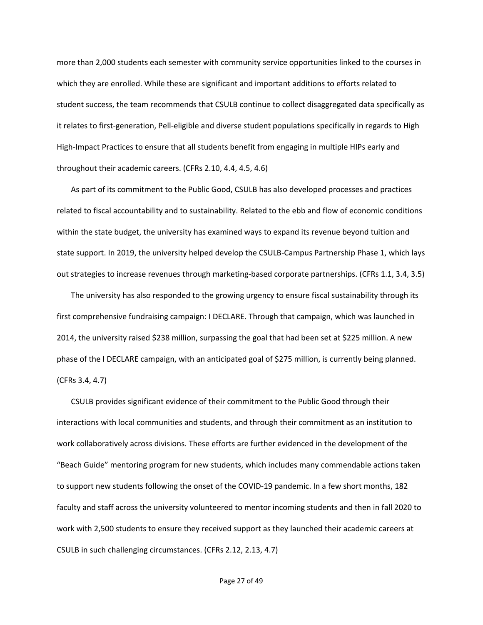more than 2,000 students each semester with community service opportunities linked to the courses in which they are enrolled. While these are significant and important additions to efforts related to student success, the team recommends that CSULB continue to collect disaggregated data specifically as it relates to first-generation, Pell-eligible and diverse student populations specifically in regards to High High-Impact Practices to ensure that all students benefit from engaging in multiple HIPs early and throughout their academic careers. (CFRs 2.10, 4.4, 4.5, 4.6)

As part of its commitment to the Public Good, CSULB has also developed processes and practices related to fiscal accountability and to sustainability. Related to the ebb and flow of economic conditions within the state budget, the university has examined ways to expand its revenue beyond tuition and state support. In 2019, the university helped develop the CSULB-Campus Partnership Phase 1, which lays out strategies to increase revenues through marketing-based corporate partnerships. (CFRs 1.1, 3.4, 3.5)

The university has also responded to the growing urgency to ensure fiscal sustainability through its first comprehensive fundraising campaign: I DECLARE. Through that campaign, which was launched in 2014, the university raised \$238 million, surpassing the goal that had been set at \$225 million. A new phase of the I DECLARE campaign, with an anticipated goal of \$275 million, is currently being planned. (CFRs 3.4, 4.7)

CSULB provides significant evidence of their commitment to the Public Good through their interactions with local communities and students, and through their commitment as an institution to work collaboratively across divisions. These efforts are further evidenced in the development of the "Beach Guide" mentoring program for new students, which includes many commendable actions taken to support new students following the onset of the COVID-19 pandemic. In a few short months, 182 faculty and staff across the university volunteered to mentor incoming students and then in fall 2020 to work with 2,500 students to ensure they received support as they launched their academic careers at CSULB in such challenging circumstances. (CFRs 2.12, 2.13, 4.7)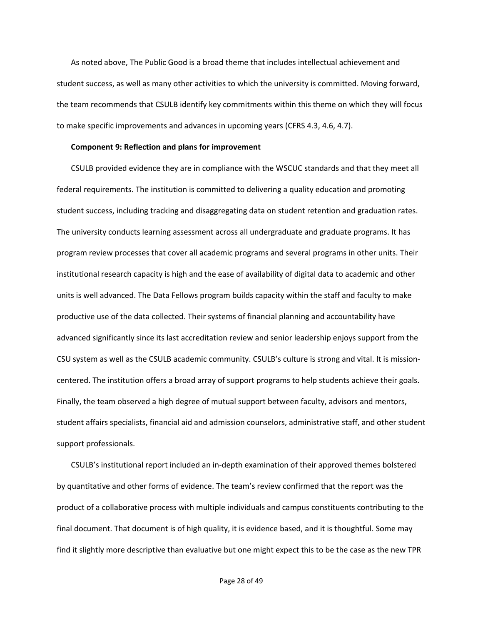As noted above, The Public Good is a broad theme that includes intellectual achievement and student success, as well as many other activities to which the university is committed. Moving forward, the team recommends that CSULB identify key commitments within this theme on which they will focus to make specific improvements and advances in upcoming years (CFRS 4.3, 4.6, 4.7).

### **Component 9: Reflection and plans for improvement**

CSULB provided evidence they are in compliance with the WSCUC standards and that they meet all federal requirements. The institution is committed to delivering a quality education and promoting student success, including tracking and disaggregating data on student retention and graduation rates. The university conducts learning assessment across all undergraduate and graduate programs. It has program review processes that cover all academic programs and several programs in other units. Their institutional research capacity is high and the ease of availability of digital data to academic and other units is well advanced. The Data Fellows program builds capacity within the staff and faculty to make productive use of the data collected. Their systems of financial planning and accountability have advanced significantly since its last accreditation review and senior leadership enjoys support from the CSU system as well as the CSULB academic community. CSULB's culture is strong and vital. It is missioncentered. The institution offers a broad array of support programs to help students achieve their goals. Finally, the team observed a high degree of mutual support between faculty, advisors and mentors, student affairs specialists, financial aid and admission counselors, administrative staff, and other student support professionals.

CSULB's institutional report included an in-depth examination of their approved themes bolstered by quantitative and other forms of evidence. The team's review confirmed that the report was the product of a collaborative process with multiple individuals and campus constituents contributing to the final document. That document is of high quality, it is evidence based, and it is thoughtful. Some may find it slightly more descriptive than evaluative but one might expect this to be the case as the new TPR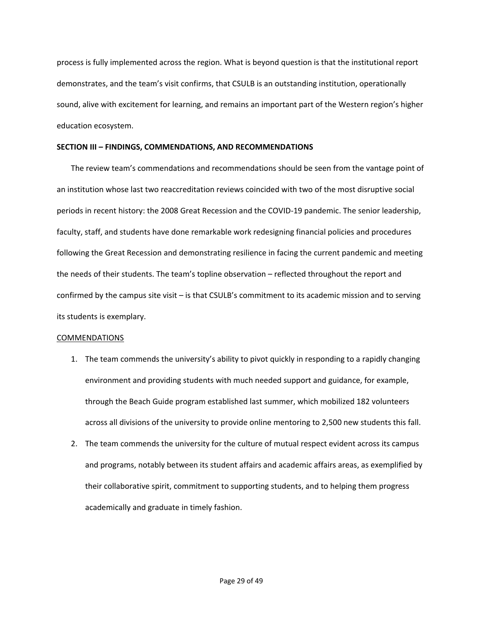process is fully implemented across the region. What is beyond question is that the institutional report demonstrates, and the team's visit confirms, that CSULB is an outstanding institution, operationally sound, alive with excitement for learning, and remains an important part of the Western region's higher education ecosystem.

### **SECTION III – FINDINGS, COMMENDATIONS, AND RECOMMENDATIONS**

The review team's commendations and recommendations should be seen from the vantage point of an institution whose last two reaccreditation reviews coincided with two of the most disruptive social periods in recent history: the 2008 Great Recession and the COVID-19 pandemic. The senior leadership, faculty, staff, and students have done remarkable work redesigning financial policies and procedures following the Great Recession and demonstrating resilience in facing the current pandemic and meeting the needs of their students. The team's topline observation – reflected throughout the report and confirmed by the campus site visit – is that CSULB's commitment to its academic mission and to serving its students is exemplary.

### COMMENDATIONS

- 1. The team commends the university's ability to pivot quickly in responding to a rapidly changing environment and providing students with much needed support and guidance, for example, through the Beach Guide program established last summer, which mobilized 182 volunteers across all divisions of the university to provide online mentoring to 2,500 new students this fall.
- 2. The team commends the university for the culture of mutual respect evident across its campus and programs, notably between its student affairs and academic affairs areas, as exemplified by their collaborative spirit, commitment to supporting students, and to helping them progress academically and graduate in timely fashion.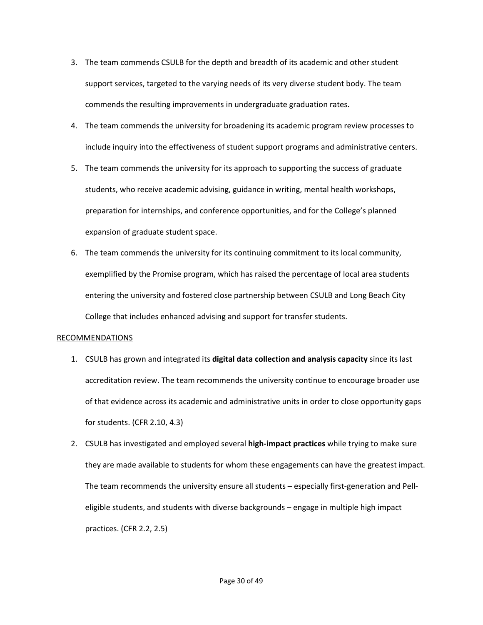- 3. The team commends CSULB for the depth and breadth of its academic and other student support services, targeted to the varying needs of its very diverse student body. The team commends the resulting improvements in undergraduate graduation rates.
- 4. The team commends the university for broadening its academic program review processes to include inquiry into the effectiveness of student support programs and administrative centers.
- 5. The team commends the university for its approach to supporting the success of graduate students, who receive academic advising, guidance in writing, mental health workshops, preparation for internships, and conference opportunities, and for the College's planned expansion of graduate student space.
- 6. The team commends the university for its continuing commitment to its local community, exemplified by the Promise program, which has raised the percentage of local area students entering the university and fostered close partnership between CSULB and Long Beach City College that includes enhanced advising and support for transfer students.

### RECOMMENDATIONS

- 1. CSULB has grown and integrated its **digital data collection and analysis capacity** since its last accreditation review. The team recommends the university continue to encourage broader use of that evidence across its academic and administrative units in order to close opportunity gaps for students. (CFR 2.10, 4.3)
- 2. CSULB has investigated and employed several **high-impact practices** while trying to make sure they are made available to students for whom these engagements can have the greatest impact. The team recommends the university ensure all students – especially first-generation and Pelleligible students, and students with diverse backgrounds – engage in multiple high impact practices. (CFR 2.2, 2.5)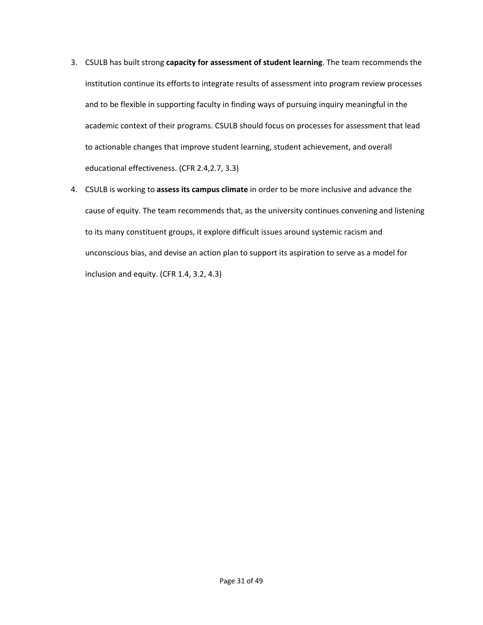- 3. CSULB has built strong **capacity for assessment of student learning**. The team recommends the institution continue its efforts to integrate results of assessment into program review processes and to be flexible in supporting faculty in finding ways of pursuing inquiry meaningful in the academic context of their programs. CSULB should focus on processes for assessment that lead to actionable changes that improve student learning, student achievement, and overall educational effectiveness. (CFR 2.4,2.7, 3.3)
- 4. CSULB is working to **assess its campus climate** in order to be more inclusive and advance the cause of equity. The team recommends that, as the university continues convening and listening to its many constituent groups, it explore difficult issues around systemic racism and unconscious bias, and devise an action plan to support its aspiration to serve as a model for inclusion and equity. (CFR 1.4, 3.2, 4.3)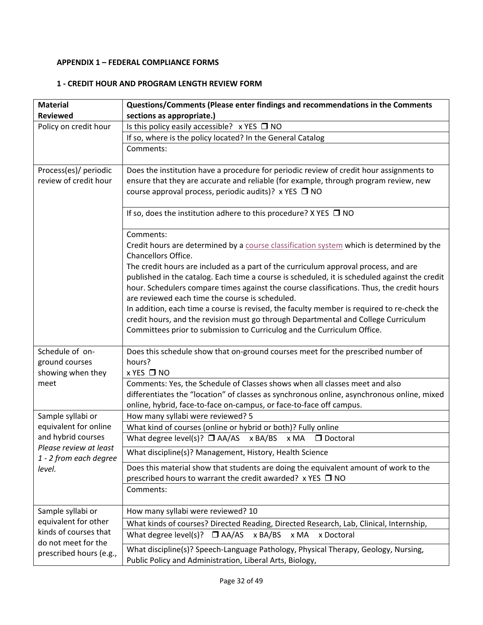# **APPENDIX 1 – FEDERAL COMPLIANCE FORMS**

## **1 - CREDIT HOUR AND PROGRAM LENGTH REVIEW FORM**

| <b>Material</b>                                  | Questions/Comments (Please enter findings and recommendations in the Comments                                                                 |  |  |
|--------------------------------------------------|-----------------------------------------------------------------------------------------------------------------------------------------------|--|--|
| <b>Reviewed</b>                                  | sections as appropriate.)                                                                                                                     |  |  |
| Policy on credit hour                            | Is this policy easily accessible? x YES □ NO                                                                                                  |  |  |
|                                                  | If so, where is the policy located? In the General Catalog                                                                                    |  |  |
|                                                  | Comments:                                                                                                                                     |  |  |
| Process(es)/ periodic                            | Does the institution have a procedure for periodic review of credit hour assignments to                                                       |  |  |
| review of credit hour                            | ensure that they are accurate and reliable (for example, through program review, new<br>course approval process, periodic audits)? x YES □ NO |  |  |
|                                                  | If so, does the institution adhere to this procedure? $X$ YES $\Box$ NO                                                                       |  |  |
|                                                  | Comments:                                                                                                                                     |  |  |
|                                                  | Credit hours are determined by a course classification system which is determined by the<br>Chancellors Office.                               |  |  |
|                                                  | The credit hours are included as a part of the curriculum approval process, and are                                                           |  |  |
|                                                  | published in the catalog. Each time a course is scheduled, it is scheduled against the credit                                                 |  |  |
|                                                  | hour. Schedulers compare times against the course classifications. Thus, the credit hours                                                     |  |  |
|                                                  | are reviewed each time the course is scheduled.                                                                                               |  |  |
|                                                  | In addition, each time a course is revised, the faculty member is required to re-check the                                                    |  |  |
|                                                  | credit hours, and the revision must go through Departmental and College Curriculum                                                            |  |  |
|                                                  | Committees prior to submission to Curriculog and the Curriculum Office.                                                                       |  |  |
| Schedule of on-                                  | Does this schedule show that on-ground courses meet for the prescribed number of                                                              |  |  |
| ground courses                                   | hours?                                                                                                                                        |  |  |
| showing when they                                | x YES □ NO                                                                                                                                    |  |  |
| meet                                             | Comments: Yes, the Schedule of Classes shows when all classes meet and also                                                                   |  |  |
|                                                  | differentiates the "location" of classes as synchronous online, asynchronous online, mixed                                                    |  |  |
|                                                  | online, hybrid, face-to-face on-campus, or face-to-face off campus.                                                                           |  |  |
| Sample syllabi or                                | How many syllabi were reviewed? 5                                                                                                             |  |  |
| equivalent for online                            | What kind of courses (online or hybrid or both)? Fully online                                                                                 |  |  |
| and hybrid courses                               | What degree level(s)? $\Box$ AA/AS $\times$ BA/BS $\times$ MA<br>D Doctoral                                                                   |  |  |
| Please review at least<br>1 - 2 from each degree | What discipline(s)? Management, History, Health Science                                                                                       |  |  |
| level.                                           | Does this material show that students are doing the equivalent amount of work to the                                                          |  |  |
|                                                  | prescribed hours to warrant the credit awarded? x YES $\Box$ NO                                                                               |  |  |
|                                                  | Comments:                                                                                                                                     |  |  |
| Sample syllabi or                                | How many syllabi were reviewed? 10                                                                                                            |  |  |
| equivalent for other                             | What kinds of courses? Directed Reading, Directed Research, Lab, Clinical, Internship,                                                        |  |  |
| kinds of courses that<br>do not meet for the     | What degree level(s)? $\Box$ AA/AS<br>x BA/BS<br>x MA<br>x Doctoral                                                                           |  |  |
| prescribed hours (e.g.,                          | What discipline(s)? Speech-Language Pathology, Physical Therapy, Geology, Nursing,                                                            |  |  |
|                                                  | Public Policy and Administration, Liberal Arts, Biology,                                                                                      |  |  |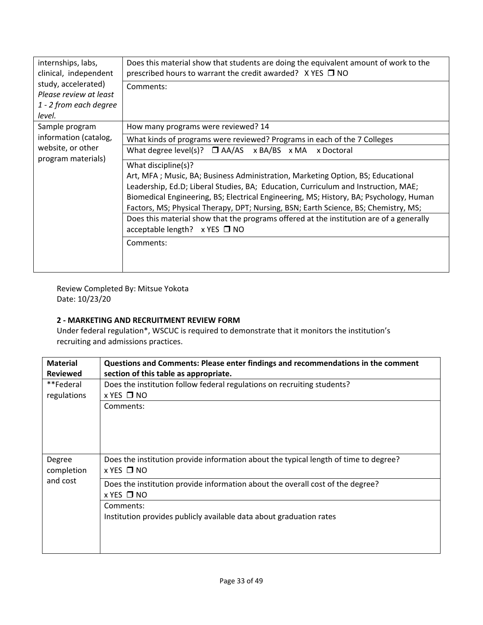| internships, labs,<br>clinical, independent<br>study, accelerated)<br>Please review at least<br>1 - 2 from each degree<br>level. | Does this material show that students are doing the equivalent amount of work to the<br>prescribed hours to warrant the credit awarded? $X$ YES $\Box$ NO<br>Comments:                                                                                                                                                                                                                                                                                                                                                             |
|----------------------------------------------------------------------------------------------------------------------------------|------------------------------------------------------------------------------------------------------------------------------------------------------------------------------------------------------------------------------------------------------------------------------------------------------------------------------------------------------------------------------------------------------------------------------------------------------------------------------------------------------------------------------------|
| Sample program                                                                                                                   | How many programs were reviewed? 14                                                                                                                                                                                                                                                                                                                                                                                                                                                                                                |
| information (catalog,                                                                                                            | What kinds of programs were reviewed? Programs in each of the 7 Colleges                                                                                                                                                                                                                                                                                                                                                                                                                                                           |
| website, or other                                                                                                                | What degree level(s)? $\Box$ AA/AS x BA/BS x MA x Doctoral                                                                                                                                                                                                                                                                                                                                                                                                                                                                         |
| program materials)                                                                                                               | What discipline(s)?<br>Art, MFA; Music, BA; Business Administration, Marketing Option, BS; Educational<br>Leadership, Ed.D; Liberal Studies, BA; Education, Curriculum and Instruction, MAE;<br>Biomedical Engineering, BS; Electrical Engineering, MS; History, BA; Psychology, Human<br>Factors, MS; Physical Therapy, DPT; Nursing, BSN; Earth Science, BS; Chemistry, MS;<br>Does this material show that the programs offered at the institution are of a generally<br>acceptable length? $\times$ YES $\Box$ NO<br>Comments: |
|                                                                                                                                  |                                                                                                                                                                                                                                                                                                                                                                                                                                                                                                                                    |

Review Completed By: Mitsue Yokota Date: 10/23/20

## **2 - MARKETING AND RECRUITMENT REVIEW FORM**

Under federal regulation\*, WSCUC is required to demonstrate that it monitors the institution's recruiting and admissions practices.

| <b>Material</b>                                          | Questions and Comments: Please enter findings and recommendations in the comment                          |  |  |
|----------------------------------------------------------|-----------------------------------------------------------------------------------------------------------|--|--|
| section of this table as appropriate.<br><b>Reviewed</b> |                                                                                                           |  |  |
| **Federal                                                | Does the institution follow federal regulations on recruiting students?                                   |  |  |
| regulations                                              | $x$ YES $\Box$ NO                                                                                         |  |  |
|                                                          | Comments:                                                                                                 |  |  |
|                                                          |                                                                                                           |  |  |
|                                                          |                                                                                                           |  |  |
|                                                          |                                                                                                           |  |  |
| Degree<br>completion                                     | Does the institution provide information about the typical length of time to degree?<br>$x$ YES $\Box$ NO |  |  |
| and cost                                                 | Does the institution provide information about the overall cost of the degree?<br>$x$ YES $\Box$ NO       |  |  |
|                                                          | Comments:                                                                                                 |  |  |
|                                                          | Institution provides publicly available data about graduation rates                                       |  |  |
|                                                          |                                                                                                           |  |  |
|                                                          |                                                                                                           |  |  |
|                                                          |                                                                                                           |  |  |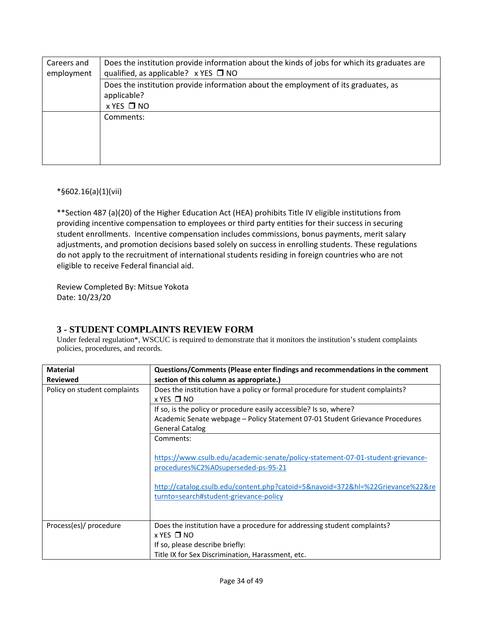| Does the institution provide information about the kinds of jobs for which its graduates are<br>Careers and<br>qualified, as applicable? $\times$ YES $\Box$ NO<br>employment |  |  |
|-------------------------------------------------------------------------------------------------------------------------------------------------------------------------------|--|--|
| Does the institution provide information about the employment of its graduates, as<br>applicable?                                                                             |  |  |
| $x$ YES $\Box$ NO                                                                                                                                                             |  |  |
| Comments:                                                                                                                                                                     |  |  |
|                                                                                                                                                                               |  |  |
|                                                                                                                                                                               |  |  |
|                                                                                                                                                                               |  |  |

### \*§602.16(a)(1)(vii)

\*\*Section 487 (a)(20) of the Higher Education Act (HEA) prohibits Title IV eligible institutions from providing incentive compensation to employees or third party entities for their success in securing student enrollments. Incentive compensation includes commissions, bonus payments, merit salary adjustments, and promotion decisions based solely on success in enrolling students. These regulations do not apply to the recruitment of international students residing in foreign countries who are not eligible to receive Federal financial aid.

Review Completed By: Mitsue Yokota Date: 10/23/20

## **3 - STUDENT COMPLAINTS REVIEW FORM**

Under federal regulation\*, WSCUC is required to demonstrate that it monitors the institution's student complaints policies, procedures, and records.

| <b>Material</b>              | Questions/Comments (Please enter findings and recommendations in the comment                                                                                                                                                                       |  |
|------------------------------|----------------------------------------------------------------------------------------------------------------------------------------------------------------------------------------------------------------------------------------------------|--|
| <b>Reviewed</b>              | section of this column as appropriate.)                                                                                                                                                                                                            |  |
| Policy on student complaints | Does the institution have a policy or formal procedure for student complaints?                                                                                                                                                                     |  |
|                              | $x$ YES $\Box$ NO                                                                                                                                                                                                                                  |  |
|                              | If so, is the policy or procedure easily accessible? Is so, where?                                                                                                                                                                                 |  |
|                              | Academic Senate webpage - Policy Statement 07-01 Student Grievance Procedures                                                                                                                                                                      |  |
|                              | <b>General Catalog</b>                                                                                                                                                                                                                             |  |
|                              | Comments:                                                                                                                                                                                                                                          |  |
|                              | https://www.csulb.edu/academic-senate/policy-statement-07-01-student-grievance-<br>procedures%C2%A0superseded-ps-95-21<br>http://catalog.csulb.edu/content.php?catoid=5&navoid=372&hl=%22Grievance%22&re<br>turnto=search#student-grievance-policy |  |
| Process(es)/ procedure       | Does the institution have a procedure for addressing student complaints?                                                                                                                                                                           |  |
|                              | $x$ YES $\Box$ NO                                                                                                                                                                                                                                  |  |
|                              | If so, please describe briefly:                                                                                                                                                                                                                    |  |
|                              | Title IX for Sex Discrimination, Harassment, etc.                                                                                                                                                                                                  |  |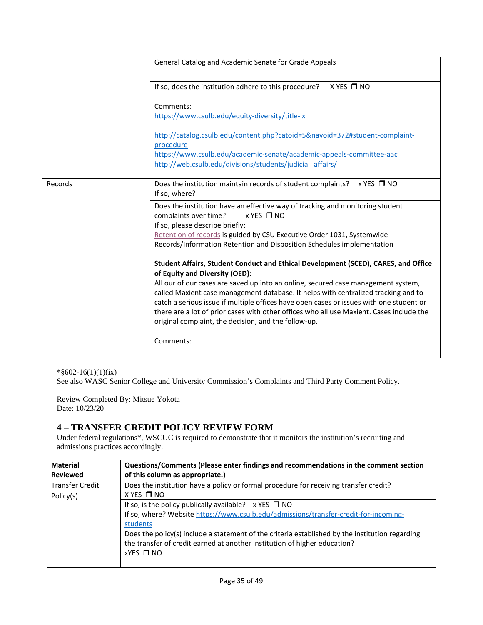|         | General Catalog and Academic Senate for Grade Appeals                                                                                                                   |
|---------|-------------------------------------------------------------------------------------------------------------------------------------------------------------------------|
|         | If so, does the institution adhere to this procedure?<br>$X$ YES $\Box$ NO                                                                                              |
|         | Comments:                                                                                                                                                               |
|         | https://www.csulb.edu/equity-diversity/title-ix                                                                                                                         |
|         | http://catalog.csulb.edu/content.php?catoid=5&navoid=372#student-complaint-<br>procedure                                                                                |
|         | https://www.csulb.edu/academic-senate/academic-appeals-committee-aac<br>http://web.csulb.edu/divisions/students/judicial affairs/                                       |
| Records | Does the institution maintain records of student complaints? $\times$ YES $\Box$ NO<br>If so, where?                                                                    |
|         | Does the institution have an effective way of tracking and monitoring student<br>complaints over time?<br>$x$ YES $\Box$ NO                                             |
|         | If so, please describe briefly:                                                                                                                                         |
|         | Retention of records is guided by CSU Executive Order 1031, Systemwide                                                                                                  |
|         | Records/Information Retention and Disposition Schedules implementation                                                                                                  |
|         | Student Affairs, Student Conduct and Ethical Development (SCED), CARES, and Office<br>of Equity and Diversity (OED):                                                    |
|         | All our of our cases are saved up into an online, secured case management system,<br>called Maxient case management database. It helps with centralized tracking and to |
|         | catch a serious issue if multiple offices have open cases or issues with one student or                                                                                 |
|         | there are a lot of prior cases with other offices who all use Maxient. Cases include the                                                                                |
|         | original complaint, the decision, and the follow-up.                                                                                                                    |
|         | Comments:                                                                                                                                                               |

\*§602-16(1)(1)(ix)

See also WASC Senior College and University Commission's Complaints and Third Party Comment Policy.

Review Completed By: Mitsue Yokota Date: 10/23/20

## **4 – TRANSFER CREDIT POLICY REVIEW FORM**

Under federal regulations\*, WSCUC is required to demonstrate that it monitors the institution's recruiting and admissions practices accordingly.

| <b>Material</b>        | Questions/Comments (Please enter findings and recommendations in the comment section            |  |
|------------------------|-------------------------------------------------------------------------------------------------|--|
| <b>Reviewed</b>        | of this column as appropriate.)                                                                 |  |
| <b>Transfer Credit</b> | Does the institution have a policy or formal procedure for receiving transfer credit?           |  |
| Policy(s)              | $X$ YES $\Box$ NO                                                                               |  |
|                        | If so, is the policy publically available? $\times$ YES $\Box$ NO                               |  |
|                        | If so, where? Website https://www.csulb.edu/admissions/transfer-credit-for-incoming-            |  |
|                        | students                                                                                        |  |
|                        | Does the policy(s) include a statement of the criteria established by the institution regarding |  |
|                        | the transfer of credit earned at another institution of higher education?                       |  |
|                        | $XYZS$ $\Box$ NO                                                                                |  |
|                        |                                                                                                 |  |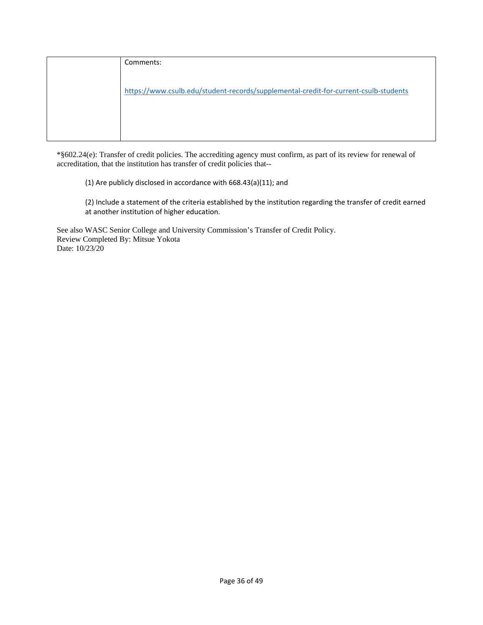| Comments:                                                                            |
|--------------------------------------------------------------------------------------|
|                                                                                      |
| https://www.csulb.edu/student-records/supplemental-credit-for-current-csulb-students |
|                                                                                      |
|                                                                                      |
|                                                                                      |

\*§602.24(e): Transfer of credit policies. The accrediting agency must confirm, as part of its review for renewal of accreditation, that the institution has transfer of credit policies that--

(1) Are publicly disclosed in accordance with 668.43(a)(11); and

(2) Include a statement of the criteria established by the institution regarding the transfer of credit earned at another institution of higher education.

See also WASC Senior College and University Commission's Transfer of Credit Policy. Review Completed By: Mitsue Yokota Date: 10/23/20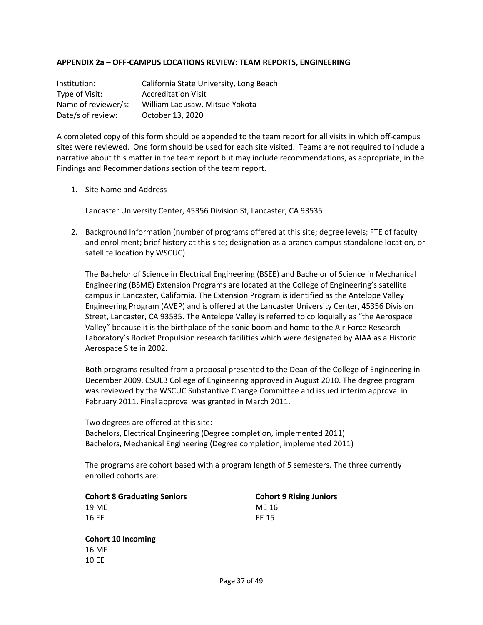### **APPENDIX 2a – OFF-CAMPUS LOCATIONS REVIEW: TEAM REPORTS, ENGINEERING**

| Institution:        | California State University, Long Beach |
|---------------------|-----------------------------------------|
| Type of Visit:      | <b>Accreditation Visit</b>              |
| Name of reviewer/s: | William Ladusaw, Mitsue Yokota          |
| Date/s of review:   | October 13, 2020                        |

A completed copy of this form should be appended to the team report for all visits in which off-campus sites were reviewed. One form should be used for each site visited. Teams are not required to include a narrative about this matter in the team report but may include recommendations, as appropriate, in the Findings and Recommendations section of the team report.

1. Site Name and Address

Lancaster University Center, 45356 Division St, Lancaster, CA 93535

2. Background Information (number of programs offered at this site; degree levels; FTE of faculty and enrollment; brief history at this site; designation as a branch campus standalone location, or satellite location by WSCUC)

The Bachelor of Science in Electrical Engineering (BSEE) and Bachelor of Science in Mechanical Engineering (BSME) Extension Programs are located at the College of Engineering's satellite campus in Lancaster, California. The Extension Program is identified as the Antelope Valley Engineering Program (AVEP) and is offered at the Lancaster University Center, 45356 Division Street, Lancaster, CA 93535. The Antelope Valley is referred to colloquially as "the Aerospace Valley" because it is the birthplace of the sonic boom and home to the Air Force Research Laboratory's Rocket Propulsion research facilities which were designated by AIAA as a Historic Aerospace Site in 2002.

Both programs resulted from a proposal presented to the Dean of the College of Engineering in December 2009. CSULB College of Engineering approved in August 2010. The degree program was reviewed by the WSCUC Substantive Change Committee and issued interim approval in February 2011. Final approval was granted in March 2011.

Two degrees are offered at this site: Bachelors, Electrical Engineering (Degree completion, implemented 2011) Bachelors, Mechanical Engineering (Degree completion, implemented 2011)

The programs are cohort based with a program length of 5 semesters. The three currently enrolled cohorts are:

| <b>Cohort 8 Graduating Seniors</b> | Cohor |
|------------------------------------|-------|
| 19 ME                              | ME 16 |
| 16 EE                              | EE 15 |

**Cohort 8 Graduating Seniors Cohort 9 Rising Juniors**

**Cohort 10 Incoming** 16 ME 10 EE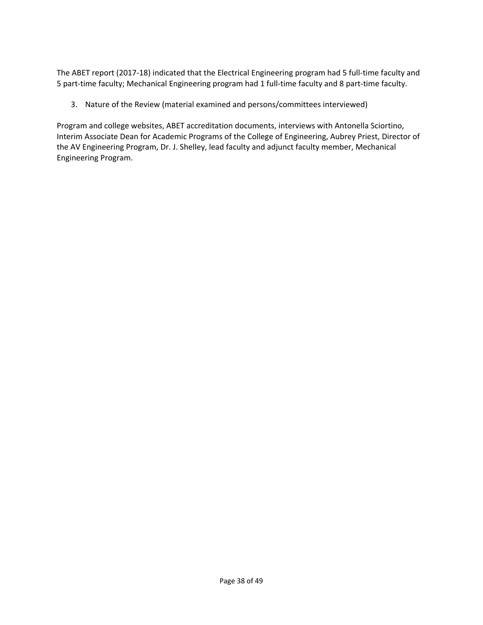The ABET report (2017-18) indicated that the Electrical Engineering program had 5 full-time faculty and 5 part-time faculty; Mechanical Engineering program had 1 full-time faculty and 8 part-time faculty.

3. Nature of the Review (material examined and persons/committees interviewed)

Program and college websites, ABET accreditation documents, interviews with Antonella Sciortino, Interim Associate Dean for Academic Programs of the College of Engineering, Aubrey Priest, Director of the AV Engineering Program, Dr. J. Shelley, lead faculty and adjunct faculty member, Mechanical Engineering Program.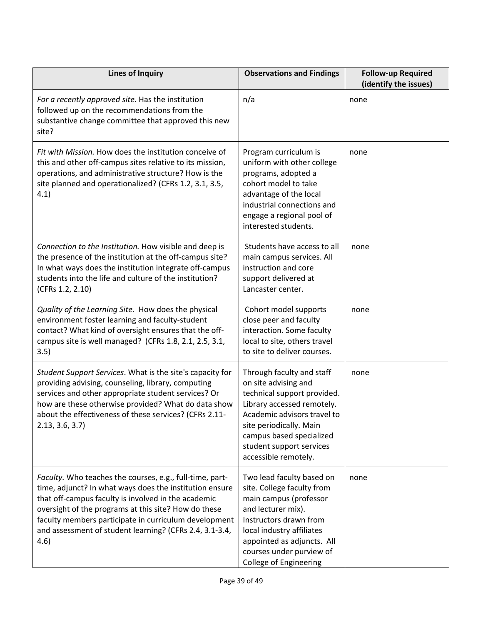| <b>Lines of Inquiry</b>                                                                                                                                                                                                                                                                                                                                        | <b>Observations and Findings</b>                                                                                                                                                                                                                          | <b>Follow-up Required</b><br>(identify the issues) |
|----------------------------------------------------------------------------------------------------------------------------------------------------------------------------------------------------------------------------------------------------------------------------------------------------------------------------------------------------------------|-----------------------------------------------------------------------------------------------------------------------------------------------------------------------------------------------------------------------------------------------------------|----------------------------------------------------|
| For a recently approved site. Has the institution<br>followed up on the recommendations from the<br>substantive change committee that approved this new<br>site?                                                                                                                                                                                               | n/a                                                                                                                                                                                                                                                       | none                                               |
| Fit with Mission. How does the institution conceive of<br>this and other off-campus sites relative to its mission,<br>operations, and administrative structure? How is the<br>site planned and operationalized? (CFRs 1.2, 3.1, 3.5,<br>4.1)                                                                                                                   | Program curriculum is<br>uniform with other college<br>programs, adopted a<br>cohort model to take<br>advantage of the local<br>industrial connections and<br>engage a regional pool of<br>interested students.                                           | none                                               |
| Connection to the Institution. How visible and deep is<br>the presence of the institution at the off-campus site?<br>In what ways does the institution integrate off-campus<br>students into the life and culture of the institution?<br>(CFRs 1.2, 2.10)                                                                                                      | Students have access to all<br>main campus services. All<br>instruction and core<br>support delivered at<br>Lancaster center.                                                                                                                             | none                                               |
| Quality of the Learning Site. How does the physical<br>environment foster learning and faculty-student<br>contact? What kind of oversight ensures that the off-<br>campus site is well managed? (CFRs 1.8, 2.1, 2.5, 3.1,<br>3.5)                                                                                                                              | Cohort model supports<br>close peer and faculty<br>interaction. Some faculty<br>local to site, others travel<br>to site to deliver courses.                                                                                                               | none                                               |
| Student Support Services. What is the site's capacity for<br>providing advising, counseling, library, computing<br>services and other appropriate student services? Or<br>how are these otherwise provided? What do data show<br>about the effectiveness of these services? (CFRs 2.11-<br>2.13, 3.6, 3.7                                                      | Through faculty and staff<br>on site advising and<br>technical support provided.<br>Library accessed remotely.<br>Academic advisors travel to<br>site periodically. Main<br>campus based specialized<br>student support services<br>accessible remotely.  | none                                               |
| Faculty. Who teaches the courses, e.g., full-time, part-<br>time, adjunct? In what ways does the institution ensure<br>that off-campus faculty is involved in the academic<br>oversight of the programs at this site? How do these<br>faculty members participate in curriculum development<br>and assessment of student learning? (CFRs 2.4, 3.1-3.4,<br>4.6) | Two lead faculty based on<br>site. College faculty from<br>main campus (professor<br>and lecturer mix).<br>Instructors drawn from<br>local industry affiliates<br>appointed as adjuncts. All<br>courses under purview of<br><b>College of Engineering</b> | none                                               |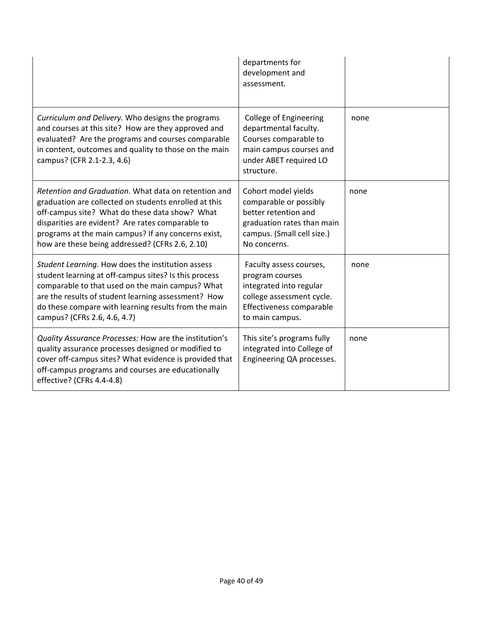|                                                                                                                                                                                                                                                                                                                               | departments for<br>development and<br>assessment.                                                                                                  |      |
|-------------------------------------------------------------------------------------------------------------------------------------------------------------------------------------------------------------------------------------------------------------------------------------------------------------------------------|----------------------------------------------------------------------------------------------------------------------------------------------------|------|
| Curriculum and Delivery. Who designs the programs<br>and courses at this site? How are they approved and<br>evaluated? Are the programs and courses comparable<br>in content, outcomes and quality to those on the main<br>campus? (CFR 2.1-2.3, 4.6)                                                                         | <b>College of Engineering</b><br>departmental faculty.<br>Courses comparable to<br>main campus courses and<br>under ABET required LO<br>structure. | none |
| Retention and Graduation. What data on retention and<br>graduation are collected on students enrolled at this<br>off-campus site? What do these data show? What<br>disparities are evident? Are rates comparable to<br>programs at the main campus? If any concerns exist,<br>how are these being addressed? (CFRs 2.6, 2.10) | Cohort model yields<br>comparable or possibly<br>better retention and<br>graduation rates than main<br>campus. (Small cell size.)<br>No concerns.  | none |
| Student Learning. How does the institution assess<br>student learning at off-campus sites? Is this process<br>comparable to that used on the main campus? What<br>are the results of student learning assessment? How<br>do these compare with learning results from the main<br>campus? (CFRs 2.6, 4.6, 4.7)                 | Faculty assess courses,<br>program courses<br>integrated into regular<br>college assessment cycle.<br>Effectiveness comparable<br>to main campus.  | none |
| Quality Assurance Processes: How are the institution's<br>quality assurance processes designed or modified to<br>cover off-campus sites? What evidence is provided that<br>off-campus programs and courses are educationally<br>effective? (CFRs 4.4-4.8)                                                                     | This site's programs fully<br>integrated into College of<br>Engineering QA processes.                                                              | none |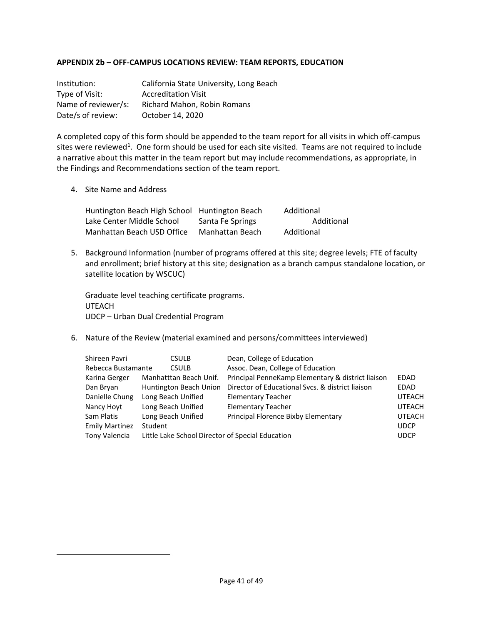### **APPENDIX 2b – OFF-CAMPUS LOCATIONS REVIEW: TEAM REPORTS, EDUCATION**

| Institution:        | California State University, Long Beach |
|---------------------|-----------------------------------------|
| Type of Visit:      | <b>Accreditation Visit</b>              |
| Name of reviewer/s: | Richard Mahon, Robin Romans             |
| Date/s of review:   | October 14, 2020                        |

A completed copy of this form should be appended to the team report for all visits in which off-campus sites were reviewed<sup>[1](#page-40-0)</sup>. One form should be used for each site visited. Teams are not required to include a narrative about this matter in the team report but may include recommendations, as appropriate, in the Findings and Recommendations section of the team report.

4. Site Name and Address

| Huntington Beach High School Huntington Beach |                  | Additional |
|-----------------------------------------------|------------------|------------|
| Lake Center Middle School                     | Santa Fe Springs | Additional |
| Manhattan Beach USD Office                    | Manhattan Beach  | Additional |

5. Background Information (number of programs offered at this site; degree levels; FTE of faculty and enrollment; brief history at this site; designation as a branch campus standalone location, or satellite location by WSCUC)

Graduate level teaching certificate programs. UTEACH UDCP – Urban Dual Credential Program

6. Nature of the Review (material examined and persons/committees interviewed)

<span id="page-40-0"></span>

| Shireen Pavri         | <b>CSULB</b>                                     | Dean, College of Education                        |               |
|-----------------------|--------------------------------------------------|---------------------------------------------------|---------------|
| Rebecca Bustamante    | <b>CSULB</b>                                     | Assoc. Dean, College of Education                 |               |
| Karina Gerger         | Manhatttan Beach Unif.                           | Principal PenneKamp Elementary & district liaison | EDAD          |
| Dan Bryan             | Huntington Beach Union                           | Director of Educational Sycs. & district liaison  | EDAD          |
| Danielle Chung        | Long Beach Unified                               | <b>Elementary Teacher</b>                         | <b>UTEACH</b> |
| Nancy Hoyt            | Long Beach Unified                               | <b>Elementary Teacher</b>                         | <b>UTEACH</b> |
| Sam Platis            | Long Beach Unified                               | Principal Florence Bixby Elementary               | <b>UTEACH</b> |
| <b>Emily Martinez</b> | Student                                          |                                                   | <b>UDCP</b>   |
| Tony Valencia         | Little Lake School Director of Special Education |                                                   | <b>UDCP</b>   |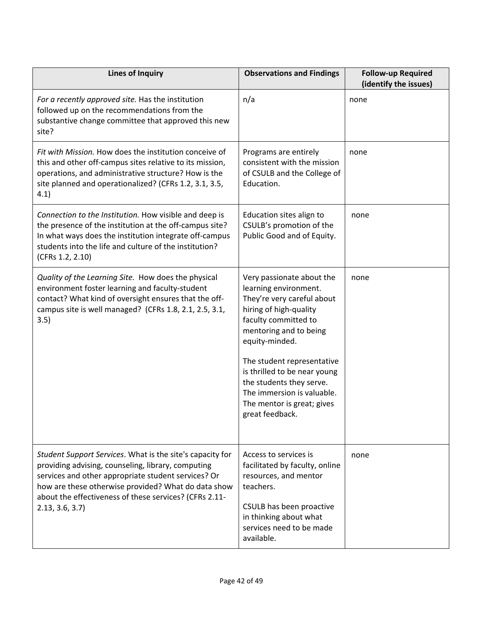| <b>Lines of Inquiry</b>                                                                                                                                                                                                                                                                                   | <b>Observations and Findings</b>                                                                                                                                                                                                                                                                                                                        | <b>Follow-up Required</b><br>(identify the issues) |
|-----------------------------------------------------------------------------------------------------------------------------------------------------------------------------------------------------------------------------------------------------------------------------------------------------------|---------------------------------------------------------------------------------------------------------------------------------------------------------------------------------------------------------------------------------------------------------------------------------------------------------------------------------------------------------|----------------------------------------------------|
| For a recently approved site. Has the institution<br>followed up on the recommendations from the<br>substantive change committee that approved this new<br>site?                                                                                                                                          | n/a                                                                                                                                                                                                                                                                                                                                                     | none                                               |
| Fit with Mission. How does the institution conceive of<br>this and other off-campus sites relative to its mission,<br>operations, and administrative structure? How is the<br>site planned and operationalized? (CFRs 1.2, 3.1, 3.5,<br>4.1)                                                              | Programs are entirely<br>consistent with the mission<br>of CSULB and the College of<br>Education.                                                                                                                                                                                                                                                       | none                                               |
| Connection to the Institution. How visible and deep is<br>the presence of the institution at the off-campus site?<br>In what ways does the institution integrate off-campus<br>students into the life and culture of the institution?<br>(CFRs 1.2, 2.10)                                                 | Education sites align to<br>CSULB's promotion of the<br>Public Good and of Equity.                                                                                                                                                                                                                                                                      | none                                               |
| Quality of the Learning Site. How does the physical<br>environment foster learning and faculty-student<br>contact? What kind of oversight ensures that the off-<br>campus site is well managed? (CFRs 1.8, 2.1, 2.5, 3.1,<br>3.5)                                                                         | Very passionate about the<br>learning environment.<br>They're very careful about<br>hiring of high-quality<br>faculty committed to<br>mentoring and to being<br>equity-minded.<br>The student representative<br>is thrilled to be near young<br>the students they serve.<br>The immersion is valuable.<br>The mentor is great; gives<br>great feedback. | none                                               |
| Student Support Services. What is the site's capacity for<br>providing advising, counseling, library, computing<br>services and other appropriate student services? Or<br>how are these otherwise provided? What do data show<br>about the effectiveness of these services? (CFRs 2.11-<br>2.13, 3.6, 3.7 | Access to services is<br>facilitated by faculty, online<br>resources, and mentor<br>teachers.<br>CSULB has been proactive<br>in thinking about what<br>services need to be made<br>available.                                                                                                                                                           | none                                               |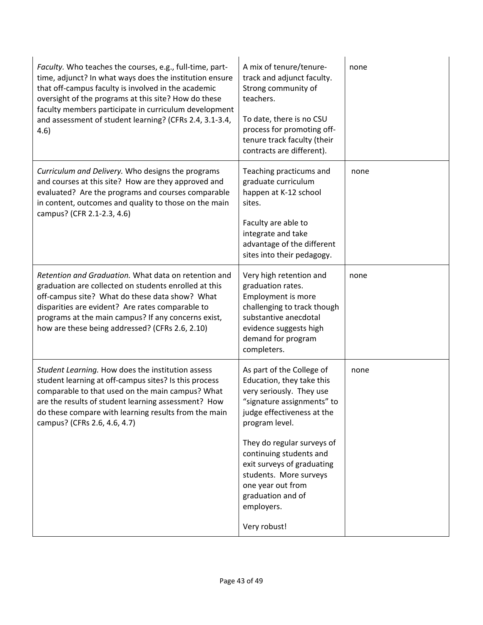| A mix of tenure/tenure-<br>track and adjunct faculty.<br>Strong community of<br>teachers.<br>To date, there is no CSU<br>process for promoting off-<br>tenure track faculty (their<br>contracts are different).                                                                                                                           | none         |
|-------------------------------------------------------------------------------------------------------------------------------------------------------------------------------------------------------------------------------------------------------------------------------------------------------------------------------------------|--------------|
| Teaching practicums and<br>graduate curriculum<br>happen at K-12 school<br>sites.<br>Faculty are able to<br>integrate and take<br>advantage of the different<br>sites into their pedagogy.                                                                                                                                                | none         |
| Very high retention and<br>graduation rates.<br><b>Employment is more</b><br>challenging to track though<br>substantive anecdotal<br>evidence suggests high<br>demand for program<br>completers.                                                                                                                                          | none         |
| As part of the College of<br>Education, they take this<br>very seriously. They use<br>"signature assignments" to<br>judge effectiveness at the<br>program level.<br>They do regular surveys of<br>continuing students and<br>exit surveys of graduating<br>students. More surveys<br>one year out from<br>graduation and of<br>employers. | none         |
|                                                                                                                                                                                                                                                                                                                                           | Very robust! |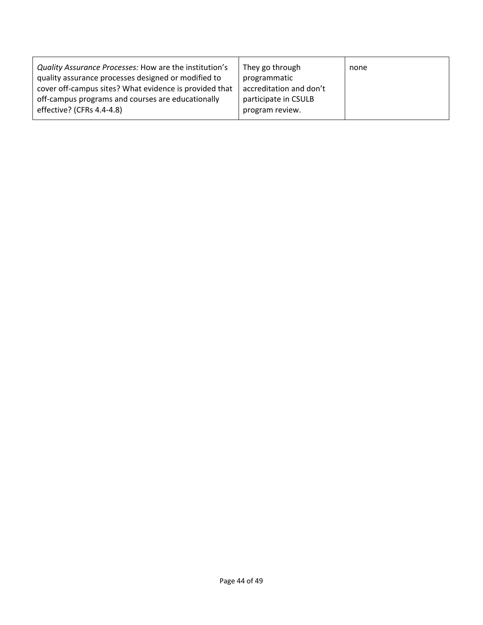| Quality Assurance Processes: How are the institution's<br>quality assurance processes designed or modified to | They go through<br>programmatic | none |
|---------------------------------------------------------------------------------------------------------------|---------------------------------|------|
| cover off-campus sites? What evidence is provided that                                                        | accreditation and don't         |      |
| off-campus programs and courses are educationally                                                             | participate in CSULB            |      |
| effective? (CFRs 4.4-4.8)                                                                                     | program review.                 |      |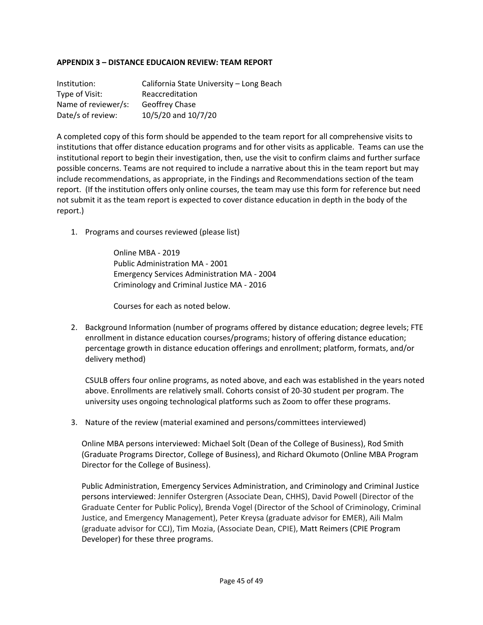## **APPENDIX 3 – DISTANCE EDUCAION REVIEW: TEAM REPORT**

| Institution:        | California State University - Long Beach |
|---------------------|------------------------------------------|
| Type of Visit:      | Reaccreditation                          |
| Name of reviewer/s: | Geoffrey Chase                           |
| Date/s of review:   | 10/5/20 and 10/7/20                      |

A completed copy of this form should be appended to the team report for all comprehensive visits to institutions that offer distance education programs and for other visits as applicable. Teams can use the institutional report to begin their investigation, then, use the visit to confirm claims and further surface possible concerns. Teams are not required to include a narrative about this in the team report but may include recommendations, as appropriate, in the Findings and Recommendations section of the team report. (If the institution offers only online courses, the team may use this form for reference but need not submit it as the team report is expected to cover distance education in depth in the body of the report.)

1. Programs and courses reviewed (please list)

Online MBA - 2019 Public Administration MA - 2001 Emergency Services Administration MA - 2004 Criminology and Criminal Justice MA - 2016

Courses for each as noted below.

2. Background Information (number of programs offered by distance education; degree levels; FTE enrollment in distance education courses/programs; history of offering distance education; percentage growth in distance education offerings and enrollment; platform, formats, and/or delivery method)

CSULB offers four online programs, as noted above, and each was established in the years noted above. Enrollments are relatively small. Cohorts consist of 20-30 student per program. The university uses ongoing technological platforms such as Zoom to offer these programs.

3. Nature of the review (material examined and persons/committees interviewed)

Online MBA persons interviewed: Michael Solt (Dean of the College of Business), Rod Smith (Graduate Programs Director, College of Business), and Richard Okumoto (Online MBA Program Director for the College of Business).

Public Administration, Emergency Services Administration, and Criminology and Criminal Justice persons interviewed: Jennifer Ostergren (Associate Dean, CHHS), David Powell (Director of the Graduate Center for Public Policy), Brenda Vogel (Director of the School of Criminology, Criminal Justice, and Emergency Management), Peter Kreysa (graduate advisor for EMER), Aili Malm (graduate advisor for CCJ), Tim Mozia, (Associate Dean, CPIE), Matt Reimers (CPIE Program Developer) for these three programs.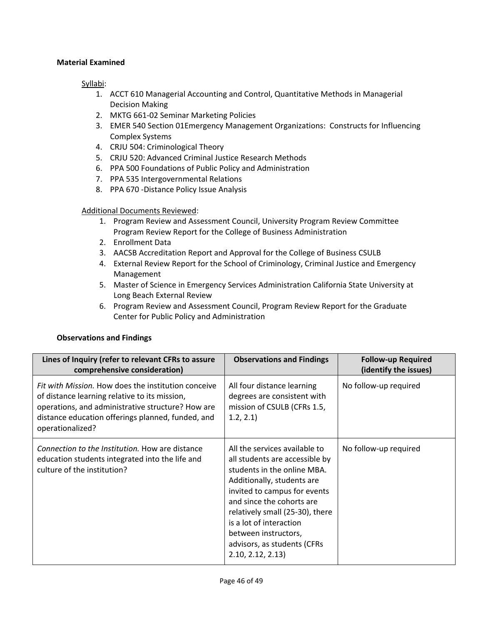## **Material Examined**

## Syllabi:

- 1. ACCT 610 Managerial Accounting and Control, Quantitative Methods in Managerial Decision Making
- 2. MKTG 661-02 Seminar Marketing Policies
- 3. EMER 540 Section 01Emergency Management Organizations: Constructs for Influencing Complex Systems
- 4. CRJU 504: Criminological Theory
- 5. CRJU 520: Advanced Criminal Justice Research Methods
- 6. PPA 500 Foundations of Public Policy and Administration
- 7. PPA 535 Intergovernmental Relations
- 8. PPA 670 -Distance Policy Issue Analysis

## Additional Documents Reviewed:

- 1. Program Review and Assessment Council, University Program Review Committee Program Review Report for the College of Business Administration
- 2. Enrollment Data
- 3. AACSB Accreditation Report and Approval for the College of Business CSULB
- 4. External Review Report for the School of Criminology, Criminal Justice and Emergency Management
- 5. Master of Science in Emergency Services Administration California State University at Long Beach External Review
- 6. Program Review and Assessment Council, Program Review Report for the Graduate Center for Public Policy and Administration

### **Observations and Findings**

| Lines of Inquiry (refer to relevant CFRs to assure<br>comprehensive consideration)                                                                                                                                                 | <b>Observations and Findings</b>                                                                                                                                                                                                                                                                                                   | <b>Follow-up Required</b><br>(identify the issues) |
|------------------------------------------------------------------------------------------------------------------------------------------------------------------------------------------------------------------------------------|------------------------------------------------------------------------------------------------------------------------------------------------------------------------------------------------------------------------------------------------------------------------------------------------------------------------------------|----------------------------------------------------|
| Fit with Mission. How does the institution conceive<br>of distance learning relative to its mission,<br>operations, and administrative structure? How are<br>distance education offerings planned, funded, and<br>operationalized? | All four distance learning<br>degrees are consistent with<br>mission of CSULB (CFRs 1.5,<br>1.2, 2.1                                                                                                                                                                                                                               | No follow-up required                              |
| Connection to the Institution. How are distance<br>education students integrated into the life and<br>culture of the institution?                                                                                                  | All the services available to<br>all students are accessible by<br>students in the online MBA.<br>Additionally, students are<br>invited to campus for events<br>and since the cohorts are<br>relatively small (25-30), there<br>is a lot of interaction<br>between instructors,<br>advisors, as students (CFRs<br>2.10, 2.12, 2.13 | No follow-up required                              |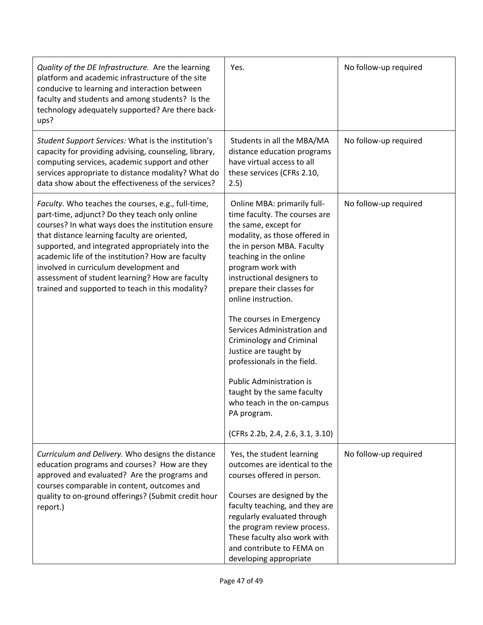| Quality of the DE Infrastructure. Are the learning<br>platform and academic infrastructure of the site<br>conducive to learning and interaction between<br>faculty and students and among students? Is the<br>technology adequately supported? Are there back-<br>ups?                                                                                                                                                                                             | Yes.                                                                                                                                                                                                                                                                                                                                                                                                                                                                                                                                                                                  | No follow-up required |
|--------------------------------------------------------------------------------------------------------------------------------------------------------------------------------------------------------------------------------------------------------------------------------------------------------------------------------------------------------------------------------------------------------------------------------------------------------------------|---------------------------------------------------------------------------------------------------------------------------------------------------------------------------------------------------------------------------------------------------------------------------------------------------------------------------------------------------------------------------------------------------------------------------------------------------------------------------------------------------------------------------------------------------------------------------------------|-----------------------|
| Student Support Services: What is the institution's<br>capacity for providing advising, counseling, library,<br>computing services, academic support and other<br>services appropriate to distance modality? What do<br>data show about the effectiveness of the services?                                                                                                                                                                                         | Students in all the MBA/MA<br>distance education programs<br>have virtual access to all<br>these services (CFRs 2.10,<br>2.5)                                                                                                                                                                                                                                                                                                                                                                                                                                                         | No follow-up required |
| Faculty. Who teaches the courses, e.g., full-time,<br>part-time, adjunct? Do they teach only online<br>courses? In what ways does the institution ensure<br>that distance learning faculty are oriented,<br>supported, and integrated appropriately into the<br>academic life of the institution? How are faculty<br>involved in curriculum development and<br>assessment of student learning? How are faculty<br>trained and supported to teach in this modality? | Online MBA: primarily full-<br>time faculty. The courses are<br>the same, except for<br>modality, as those offered in<br>the in person MBA. Faculty<br>teaching in the online<br>program work with<br>instructional designers to<br>prepare their classes for<br>online instruction.<br>The courses in Emergency<br>Services Administration and<br>Criminology and Criminal<br>Justice are taught by<br>professionals in the field.<br><b>Public Administration is</b><br>taught by the same faculty<br>who teach in the on-campus<br>PA program.<br>(CFRs 2.2b, 2.4, 2.6, 3.1, 3.10) | No follow-up required |
| Curriculum and Delivery. Who designs the distance<br>education programs and courses? How are they<br>approved and evaluated? Are the programs and<br>courses comparable in content, outcomes and<br>quality to on-ground offerings? (Submit credit hour<br>report.)                                                                                                                                                                                                | Yes, the student learning<br>outcomes are identical to the<br>courses offered in person.<br>Courses are designed by the<br>faculty teaching, and they are<br>regularly evaluated through<br>the program review process.<br>These faculty also work with<br>and contribute to FEMA on<br>developing appropriate                                                                                                                                                                                                                                                                        | No follow-up required |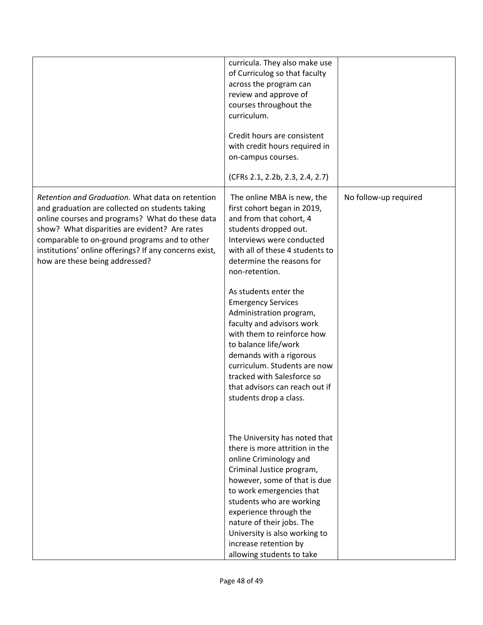|                                                                                                                                                                                                                                                                                                                                                      | curricula. They also make use<br>of Curriculog so that faculty<br>across the program can<br>review and approve of<br>courses throughout the<br>curriculum.<br>Credit hours are consistent<br>with credit hours required in<br>on-campus courses.<br>(CFRs 2.1, 2.2b, 2.3, 2.4, 2.7)                                                                                                                                                                                                                                                                   |                       |
|------------------------------------------------------------------------------------------------------------------------------------------------------------------------------------------------------------------------------------------------------------------------------------------------------------------------------------------------------|-------------------------------------------------------------------------------------------------------------------------------------------------------------------------------------------------------------------------------------------------------------------------------------------------------------------------------------------------------------------------------------------------------------------------------------------------------------------------------------------------------------------------------------------------------|-----------------------|
| Retention and Graduation. What data on retention<br>and graduation are collected on students taking<br>online courses and programs? What do these data<br>show? What disparities are evident? Are rates<br>comparable to on-ground programs and to other<br>institutions' online offerings? If any concerns exist,<br>how are these being addressed? | The online MBA is new, the<br>first cohort began in 2019,<br>and from that cohort, 4<br>students dropped out.<br>Interviews were conducted<br>with all of these 4 students to<br>determine the reasons for<br>non-retention.<br>As students enter the<br><b>Emergency Services</b><br>Administration program,<br>faculty and advisors work<br>with them to reinforce how<br>to balance life/work<br>demands with a rigorous<br>curriculum. Students are now<br>tracked with Salesforce so<br>that advisors can reach out if<br>students drop a class. | No follow-up required |
|                                                                                                                                                                                                                                                                                                                                                      | The University has noted that<br>there is more attrition in the<br>online Criminology and<br>Criminal Justice program,<br>however, some of that is due<br>to work emergencies that<br>students who are working<br>experience through the<br>nature of their jobs. The<br>University is also working to<br>increase retention by<br>allowing students to take                                                                                                                                                                                          |                       |